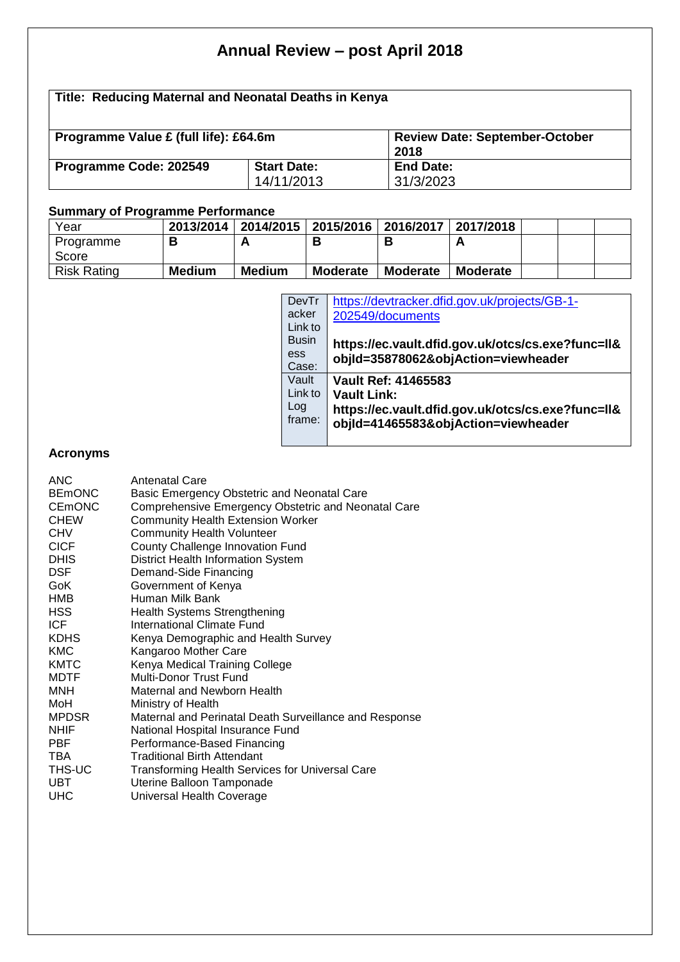# **Annual Review – post April 2018**

# **Title: Reducing Maternal and Neonatal Deaths in Kenya**

| Programme Value £ (full life): £64.6m |                                  | <b>Review Date: September-October</b><br>2018 |
|---------------------------------------|----------------------------------|-----------------------------------------------|
| Programme Code: 202549                | <b>Start Date:</b><br>14/11/2013 | End Date:                                     |

## **Summary of Programme Performance**

| Year               | 2013/2014     | 2014/2015   2015/2016   2016/2017   2017/2018 |                 |                 |                 |  |  |
|--------------------|---------------|-----------------------------------------------|-----------------|-----------------|-----------------|--|--|
| Programme          |               |                                               |                 |                 | n               |  |  |
| Score              |               |                                               |                 |                 |                 |  |  |
| <b>Risk Rating</b> | <b>Medium</b> | <b>Medium</b>                                 | <b>Moderate</b> | <b>Moderate</b> | <b>Moderate</b> |  |  |

| DevTr        | https://devtracker.dfid.gov.uk/projects/GB-1-     |
|--------------|---------------------------------------------------|
| acker        | 202549/documents                                  |
| Link to      |                                                   |
| <b>Busin</b> | https://ec.vault.dfid.gov.uk/otcs/cs.exe?func=ll& |
| ess          | objld=35878062&objAction=viewheader               |
| Case:        |                                                   |
| Vault        | Vault Ref: 41465583                               |
| Link to      | <b>Vault Link:</b>                                |
| Log          | https://ec.vault.dfid.gov.uk/otcs/cs.exe?func=ll& |
| frame:       | objld=41465583&objAction=viewheader               |
|              |                                                   |

### **Acronyms**

| <b>ANC</b><br><b>BEMONC</b> | <b>Antenatal Care</b>                                                                              |
|-----------------------------|----------------------------------------------------------------------------------------------------|
| <b>CEMONC</b>               | Basic Emergency Obstetric and Neonatal Care<br>Comprehensive Emergency Obstetric and Neonatal Care |
| <b>CHEW</b>                 | <b>Community Health Extension Worker</b>                                                           |
| <b>CHV</b>                  | <b>Community Health Volunteer</b>                                                                  |
| <b>CICF</b>                 | County Challenge Innovation Fund                                                                   |
| <b>DHIS</b>                 | District Health Information System                                                                 |
| <b>DSF</b>                  | Demand-Side Financing                                                                              |
| GoK                         | Government of Kenya                                                                                |
| HMB                         | Human Milk Bank                                                                                    |
| <b>HSS</b>                  | <b>Health Systems Strengthening</b>                                                                |
| ICF                         | International Climate Fund                                                                         |
| <b>KDHS</b>                 | Kenya Demographic and Health Survey                                                                |
| <b>KMC</b>                  | Kangaroo Mother Care                                                                               |
| <b>KMTC</b>                 | Kenya Medical Training College                                                                     |
| <b>MDTF</b>                 | <b>Multi-Donor Trust Fund</b>                                                                      |
| MNH                         | Maternal and Newborn Health                                                                        |
| MoH                         | Ministry of Health                                                                                 |
| <b>MPDSR</b>                | Maternal and Perinatal Death Surveillance and Response                                             |
| <b>NHIF</b>                 | National Hospital Insurance Fund                                                                   |
| <b>PBF</b>                  | Performance-Based Financing                                                                        |
| TBA                         | <b>Traditional Birth Attendant</b>                                                                 |
| THS-UC                      | <b>Transforming Health Services for Universal Care</b>                                             |
| <b>UBT</b>                  | Uterine Balloon Tamponade                                                                          |
| <b>UHC</b>                  | Universal Health Coverage                                                                          |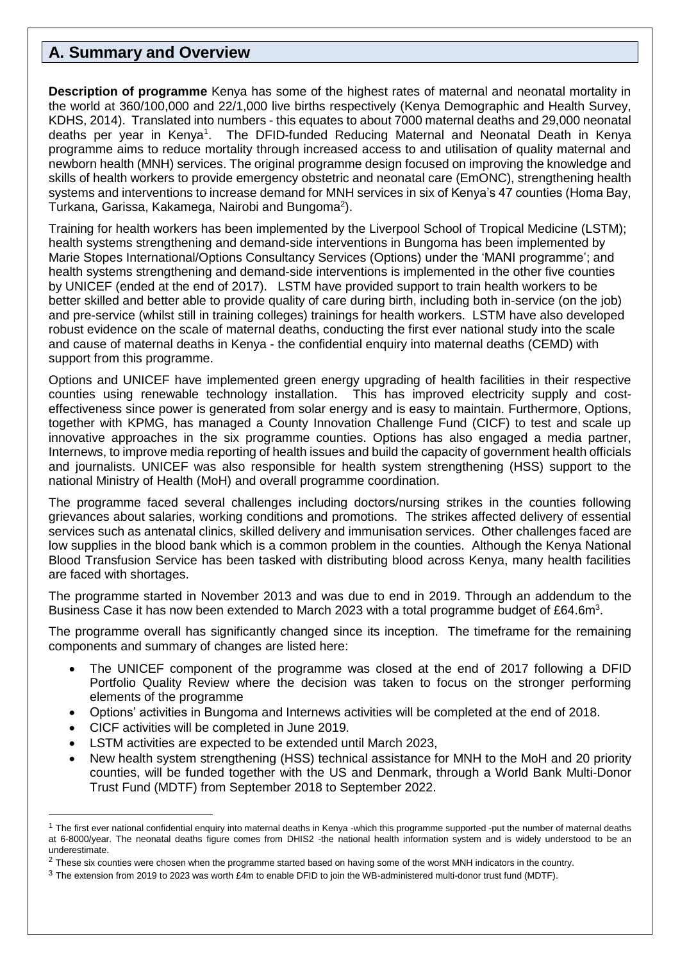## **A. Summary and Overview**

**Description of programme** Kenya has some of the highest rates of maternal and neonatal mortality in the world at 360/100,000 and 22/1,000 live births respectively (Kenya Demographic and Health Survey, KDHS, 2014). Translated into numbers - this equates to about 7000 maternal deaths and 29,000 neonatal deaths per year in Kenya<sup>1</sup>. The DFID-funded Reducing Maternal and Neonatal Death in Kenya programme aims to reduce mortality through increased access to and utilisation of quality maternal and newborn health (MNH) services. The original programme design focused on improving the knowledge and skills of health workers to provide emergency obstetric and neonatal care (EmONC), strengthening health systems and interventions to increase demand for MNH services in six of Kenya's 47 counties (Homa Bay, Turkana, Garissa, Kakamega, Nairobi and Bungoma<sup>2</sup>).

Training for health workers has been implemented by the Liverpool School of Tropical Medicine (LSTM); health systems strengthening and demand-side interventions in Bungoma has been implemented by Marie Stopes International/Options Consultancy Services (Options) under the 'MANI programme'; and health systems strengthening and demand-side interventions is implemented in the other five counties by UNICEF (ended at the end of 2017). LSTM have provided support to train health workers to be better skilled and better able to provide quality of care during birth, including both in-service (on the job) and pre-service (whilst still in training colleges) trainings for health workers. LSTM have also developed robust evidence on the scale of maternal deaths, conducting the first ever national study into the scale and cause of maternal deaths in Kenya - the confidential enquiry into maternal deaths (CEMD) with support from this programme.

Options and UNICEF have implemented green energy upgrading of health facilities in their respective counties using renewable technology installation. This has improved electricity supply and costeffectiveness since power is generated from solar energy and is easy to maintain. Furthermore, Options, together with KPMG, has managed a County Innovation Challenge Fund (CICF) to test and scale up innovative approaches in the six programme counties. Options has also engaged a media partner, Internews, to improve media reporting of health issues and build the capacity of government health officials and journalists. UNICEF was also responsible for health system strengthening (HSS) support to the national Ministry of Health (MoH) and overall programme coordination.

The programme faced several challenges including doctors/nursing strikes in the counties following grievances about salaries, working conditions and promotions. The strikes affected delivery of essential services such as antenatal clinics, skilled delivery and immunisation services. Other challenges faced are low supplies in the blood bank which is a common problem in the counties. Although the Kenya National Blood Transfusion Service has been tasked with distributing blood across Kenya, many health facilities are faced with shortages.

The programme started in November 2013 and was due to end in 2019. Through an addendum to the Business Case it has now been extended to March 2023 with a total programme budget of £64.6m<sup>3</sup>.

The programme overall has significantly changed since its inception. The timeframe for the remaining components and summary of changes are listed here:

- The UNICEF component of the programme was closed at the end of 2017 following a DFID Portfolio Quality Review where the decision was taken to focus on the stronger performing elements of the programme
- Options' activities in Bungoma and Internews activities will be completed at the end of 2018.
- CICF activities will be completed in June 2019.

- LSTM activities are expected to be extended until March 2023,
- New health system strengthening (HSS) technical assistance for MNH to the MoH and 20 priority counties, will be funded together with the US and Denmark, through a World Bank Multi-Donor Trust Fund (MDTF) from September 2018 to September 2022.

<sup>&</sup>lt;sup>1</sup> The first ever national confidential enquiry into maternal deaths in Kenya -which this programme supported -put the number of maternal deaths at 6-8000/year. The neonatal deaths figure comes from DHIS2 -the national health information system and is widely understood to be an underestimate.

 $2$  These six counties were chosen when the programme started based on having some of the worst MNH indicators in the country.

<sup>3</sup> The extension from 2019 to 2023 was worth £4m to enable DFID to join the WB-administered multi-donor trust fund (MDTF).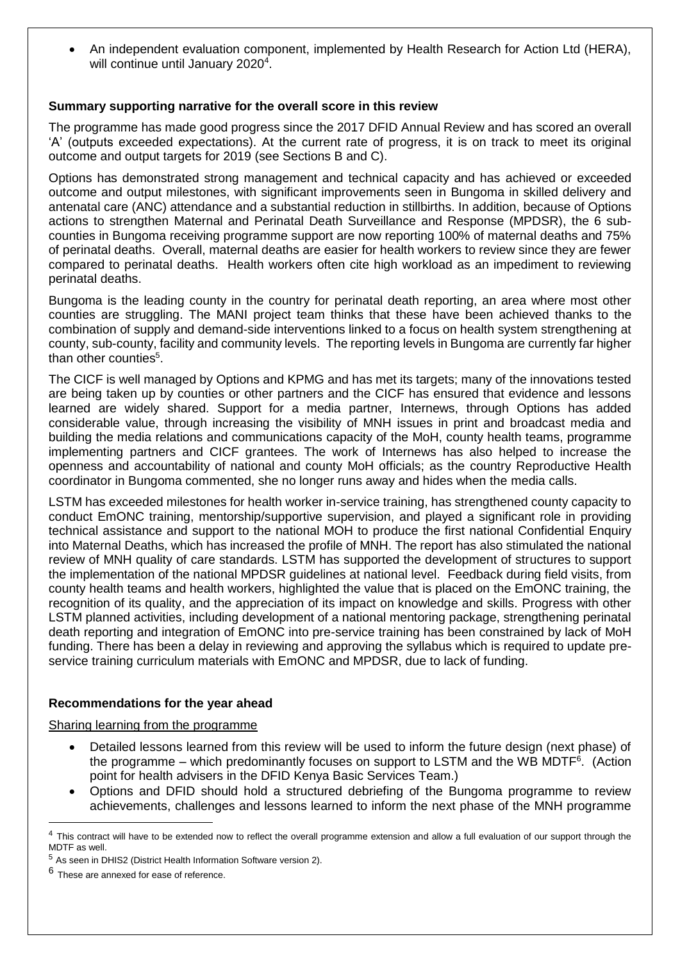An independent evaluation component, implemented by Health Research for Action Ltd (HERA), will continue until January 2020<sup>4</sup>.

#### **Summary supporting narrative for the overall score in this review**

The programme has made good progress since the 2017 DFID Annual Review and has scored an overall 'A' (outputs exceeded expectations). At the current rate of progress, it is on track to meet its original outcome and output targets for 2019 (see Sections B and C).

Options has demonstrated strong management and technical capacity and has achieved or exceeded outcome and output milestones, with significant improvements seen in Bungoma in skilled delivery and antenatal care (ANC) attendance and a substantial reduction in stillbirths. In addition, because of Options actions to strengthen Maternal and Perinatal Death Surveillance and Response (MPDSR), the 6 subcounties in Bungoma receiving programme support are now reporting 100% of maternal deaths and 75% of perinatal deaths. Overall, maternal deaths are easier for health workers to review since they are fewer compared to perinatal deaths. Health workers often cite high workload as an impediment to reviewing perinatal deaths.

Bungoma is the leading county in the country for perinatal death reporting, an area where most other counties are struggling. The MANI project team thinks that these have been achieved thanks to the combination of supply and demand-side interventions linked to a focus on health system strengthening at county, sub-county, facility and community levels. The reporting levels in Bungoma are currently far higher than other counties<sup>5</sup>.

The CICF is well managed by Options and KPMG and has met its targets; many of the innovations tested are being taken up by counties or other partners and the CICF has ensured that evidence and lessons learned are widely shared. Support for a media partner, Internews, through Options has added considerable value, through increasing the visibility of MNH issues in print and broadcast media and building the media relations and communications capacity of the MoH, county health teams, programme implementing partners and CICF grantees. The work of Internews has also helped to increase the openness and accountability of national and county MoH officials; as the country Reproductive Health coordinator in Bungoma commented, she no longer runs away and hides when the media calls.

LSTM has exceeded milestones for health worker in-service training, has strengthened county capacity to conduct EmONC training, mentorship/supportive supervision, and played a significant role in providing technical assistance and support to the national MOH to produce the first national Confidential Enquiry into Maternal Deaths, which has increased the profile of MNH. The report has also stimulated the national review of MNH quality of care standards. LSTM has supported the development of structures to support the implementation of the national MPDSR guidelines at national level. Feedback during field visits, from county health teams and health workers, highlighted the value that is placed on the EmONC training, the recognition of its quality, and the appreciation of its impact on knowledge and skills. Progress with other LSTM planned activities, including development of a national mentoring package, strengthening perinatal death reporting and integration of EmONC into pre-service training has been constrained by lack of MoH funding. There has been a delay in reviewing and approving the syllabus which is required to update preservice training curriculum materials with EmONC and MPDSR, due to lack of funding.

#### **Recommendations for the year ahead**

Sharing learning from the programme

- Detailed lessons learned from this review will be used to inform the future design (next phase) of the programme – which predominantly focuses on support to LSTM and the WB MDTF<sup>6</sup>. (Action point for health advisers in the DFID Kenya Basic Services Team.)
- Options and DFID should hold a structured debriefing of the Bungoma programme to review achievements, challenges and lessons learned to inform the next phase of the MNH programme

<sup>&</sup>lt;sup>4</sup> This contract will have to be extended now to reflect the overall programme extension and allow a full evaluation of our support through the MDTF as well.

<sup>5</sup> As seen in DHIS2 (District Health Information Software version 2).

 $^6$  These are annexed for ease of reference.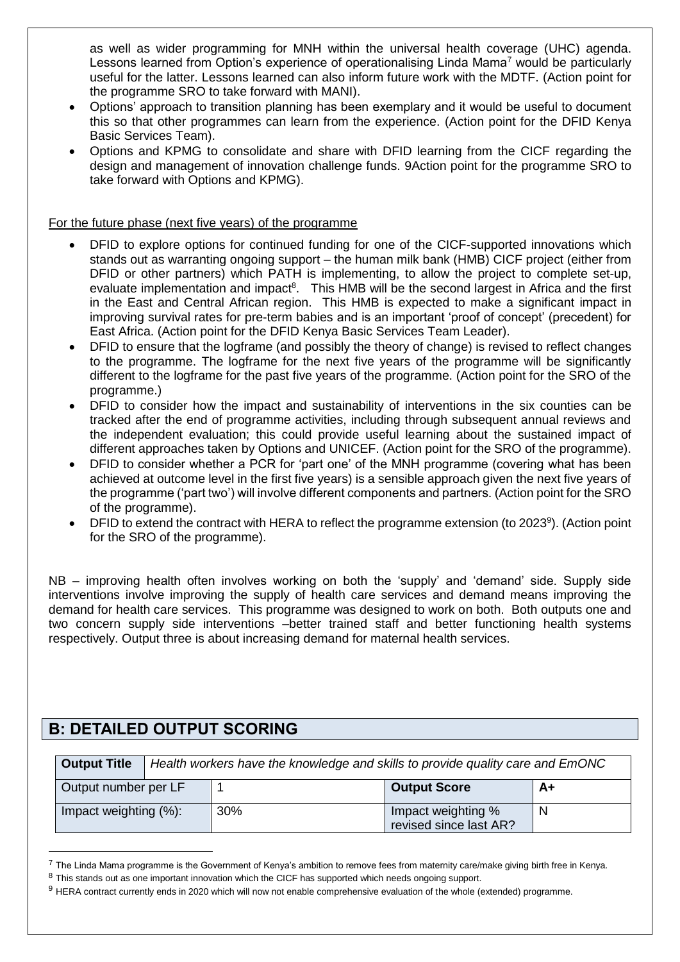as well as wider programming for MNH within the universal health coverage (UHC) agenda. Lessons learned from Option's experience of operationalising Linda Mama<sup>7</sup> would be particularly useful for the latter. Lessons learned can also inform future work with the MDTF. (Action point for the programme SRO to take forward with MANI).

- Options' approach to transition planning has been exemplary and it would be useful to document this so that other programmes can learn from the experience. (Action point for the DFID Kenya Basic Services Team).
- Options and KPMG to consolidate and share with DFID learning from the CICF regarding the design and management of innovation challenge funds. 9Action point for the programme SRO to take forward with Options and KPMG).

For the future phase (next five years) of the programme

- DFID to explore options for continued funding for one of the CICF-supported innovations which stands out as warranting ongoing support – the human milk bank (HMB) CICF project (either from DFID or other partners) which PATH is implementing, to allow the project to complete set-up, evaluate implementation and impact<sup>8</sup>. This HMB will be the second largest in Africa and the first in the East and Central African region. This HMB is expected to make a significant impact in improving survival rates for pre-term babies and is an important 'proof of concept' (precedent) for East Africa. (Action point for the DFID Kenya Basic Services Team Leader).
- DFID to ensure that the logframe (and possibly the theory of change) is revised to reflect changes to the programme. The logframe for the next five years of the programme will be significantly different to the logframe for the past five years of the programme. (Action point for the SRO of the programme.)
- DFID to consider how the impact and sustainability of interventions in the six counties can be tracked after the end of programme activities, including through subsequent annual reviews and the independent evaluation; this could provide useful learning about the sustained impact of different approaches taken by Options and UNICEF. (Action point for the SRO of the programme).
- DFID to consider whether a PCR for 'part one' of the MNH programme (covering what has been achieved at outcome level in the first five years) is a sensible approach given the next five years of the programme ('part two') will involve different components and partners. (Action point for the SRO of the programme).
- DFID to extend the contract with HERA to reflect the programme extension (to 2023<sup>9</sup>). (Action point for the SRO of the programme).

NB – improving health often involves working on both the 'supply' and 'demand' side. Supply side interventions involve improving the supply of health care services and demand means improving the demand for health care services. This programme was designed to work on both. Both outputs one and two concern supply side interventions –better trained staff and better functioning health systems respectively. Output three is about increasing demand for maternal health services.

## **B: DETAILED OUTPUT SCORING**

| <b>Output Title</b>   | Health workers have the knowledge and skills to provide quality care and EmONC |                                              |      |  |
|-----------------------|--------------------------------------------------------------------------------|----------------------------------------------|------|--|
| Output number per LF  |                                                                                | <b>Output Score</b>                          | $A+$ |  |
| Impact weighting (%): | 30%                                                                            | Impact weighting %<br>revised since last AR? |      |  |

 $7$  The Linda Mama programme is the Government of Kenya's ambition to remove fees from maternity care/make giving birth free in Kenya.

<sup>&</sup>lt;sup>8</sup> This stands out as one important innovation which the CICF has supported which needs ongoing support.

<sup>9</sup> HERA contract currently ends in 2020 which will now not enable comprehensive evaluation of the whole (extended) programme.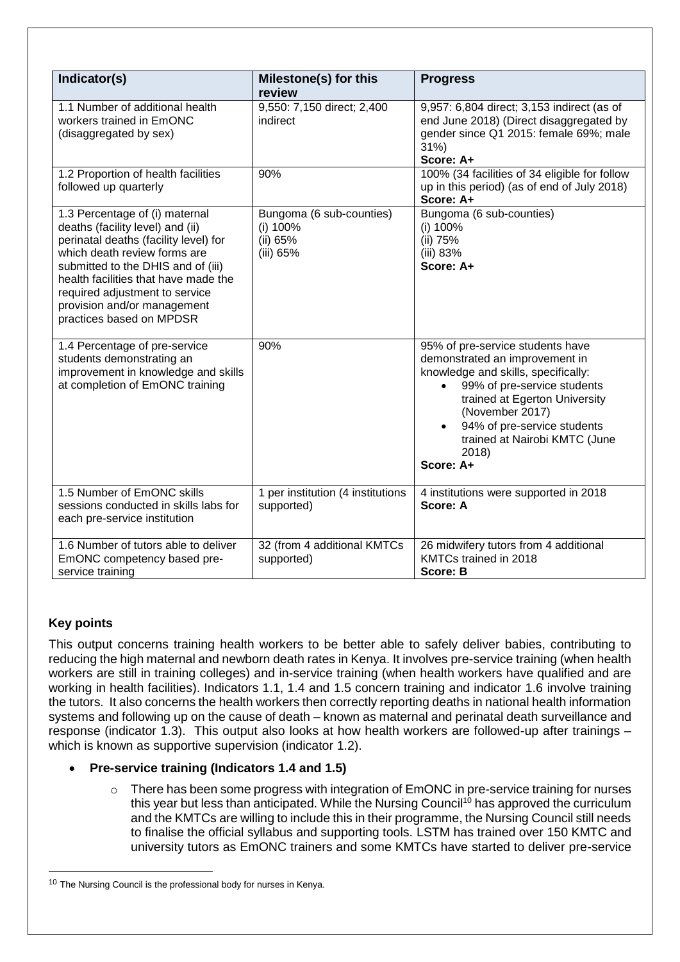| Indicator(s)                                                                                                                                                                                                                                                                                                           | Milestone(s) for this                                         | <b>Progress</b>                                                                                                                                                                                                                                                                    |
|------------------------------------------------------------------------------------------------------------------------------------------------------------------------------------------------------------------------------------------------------------------------------------------------------------------------|---------------------------------------------------------------|------------------------------------------------------------------------------------------------------------------------------------------------------------------------------------------------------------------------------------------------------------------------------------|
| 1.1 Number of additional health<br>workers trained in EmONC<br>(disaggregated by sex)                                                                                                                                                                                                                                  | review<br>9,550: 7,150 direct; 2,400<br>indirect              | 9,957: 6,804 direct; 3,153 indirect (as of<br>end June 2018) (Direct disaggregated by<br>gender since Q1 2015: female 69%; male<br>31%<br>Score: A+                                                                                                                                |
| 1.2 Proportion of health facilities<br>followed up quarterly                                                                                                                                                                                                                                                           | 90%                                                           | 100% (34 facilities of 34 eligible for follow<br>up in this period) (as of end of July 2018)<br>Score: A+                                                                                                                                                                          |
| 1.3 Percentage of (i) maternal<br>deaths (facility level) and (ii)<br>perinatal deaths (facility level) for<br>which death review forms are<br>submitted to the DHIS and of (iii)<br>health facilities that have made the<br>required adjustment to service<br>provision and/or management<br>practices based on MPDSR | Bungoma (6 sub-counties)<br>(i) 100%<br>(ii) 65%<br>(iii) 65% | Bungoma (6 sub-counties)<br>(i) 100%<br>(ii) 75%<br>(iii) 83%<br>Score: A+                                                                                                                                                                                                         |
| 1.4 Percentage of pre-service<br>students demonstrating an<br>improvement in knowledge and skills<br>at completion of EmONC training                                                                                                                                                                                   | 90%                                                           | 95% of pre-service students have<br>demonstrated an improvement in<br>knowledge and skills, specifically:<br>99% of pre-service students<br>trained at Egerton University<br>(November 2017)<br>94% of pre-service students<br>trained at Nairobi KMTC (June<br>2018)<br>Score: A+ |
| 1.5 Number of EmONC skills<br>sessions conducted in skills labs for<br>each pre-service institution                                                                                                                                                                                                                    | 1 per institution (4 institutions<br>supported)               | 4 institutions were supported in 2018<br>Score: A                                                                                                                                                                                                                                  |
| 1.6 Number of tutors able to deliver<br>EmONC competency based pre-<br>service training                                                                                                                                                                                                                                | 32 (from 4 additional KMTCs<br>supported)                     | 26 midwifery tutors from 4 additional<br>KMTCs trained in 2018<br>Score: B                                                                                                                                                                                                         |

## **Key points**

l

This output concerns training health workers to be better able to safely deliver babies, contributing to reducing the high maternal and newborn death rates in Kenya. It involves pre-service training (when health workers are still in training colleges) and in-service training (when health workers have qualified and are working in health facilities). Indicators 1.1, 1.4 and 1.5 concern training and indicator 1.6 involve training the tutors. It also concerns the health workers then correctly reporting deaths in national health information systems and following up on the cause of death – known as maternal and perinatal death surveillance and response (indicator 1.3). This output also looks at how health workers are followed-up after trainings – which is known as supportive supervision (indicator 1.2).

### **Pre-service training (Indicators 1.4 and 1.5)**

 $\circ$  There has been some progress with integration of EmONC in pre-service training for nurses this year but less than anticipated. While the Nursing Council<sup>10</sup> has approved the curriculum and the KMTCs are willing to include this in their programme, the Nursing Council still needs to finalise the official syllabus and supporting tools. LSTM has trained over 150 KMTC and university tutors as EmONC trainers and some KMTCs have started to deliver pre-service

 $10$  The Nursing Council is the professional body for nurses in Kenya.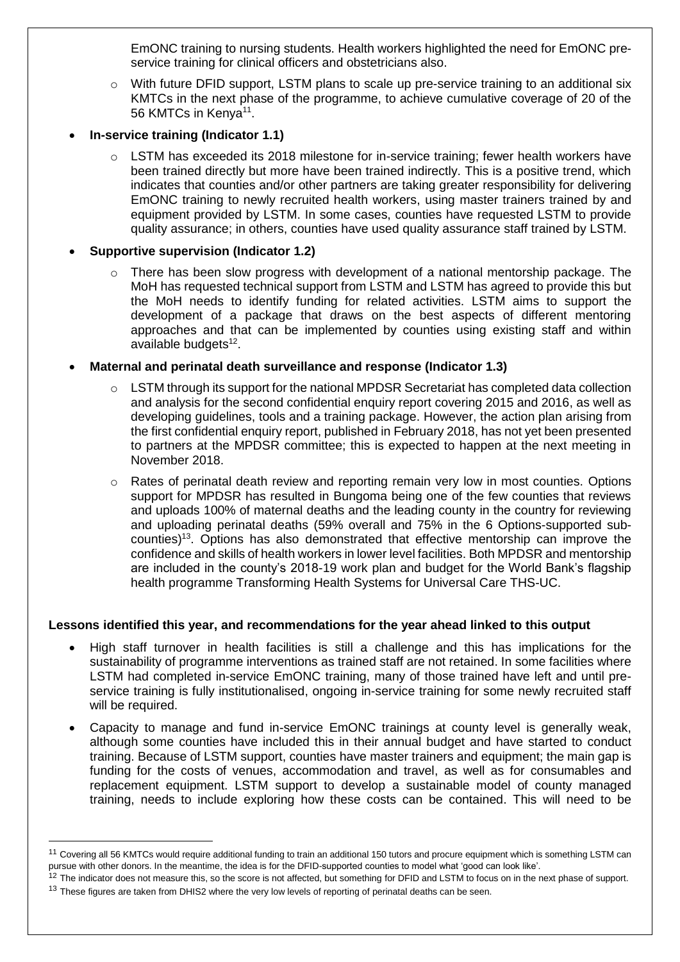EmONC training to nursing students. Health workers highlighted the need for EmONC preservice training for clinical officers and obstetricians also.

- o With future DFID support, LSTM plans to scale up pre-service training to an additional six KMTCs in the next phase of the programme, to achieve cumulative coverage of 20 of the 56 KMTCs in Kenya<sup>11</sup>.
- **In-service training (Indicator 1.1)**
	- $\circ$  LSTM has exceeded its 2018 milestone for in-service training; fewer health workers have been trained directly but more have been trained indirectly. This is a positive trend, which indicates that counties and/or other partners are taking greater responsibility for delivering EmONC training to newly recruited health workers, using master trainers trained by and equipment provided by LSTM. In some cases, counties have requested LSTM to provide quality assurance; in others, counties have used quality assurance staff trained by LSTM.

#### **Supportive supervision (Indicator 1.2)**

l

There has been slow progress with development of a national mentorship package. The MoH has requested technical support from LSTM and LSTM has agreed to provide this but the MoH needs to identify funding for related activities. LSTM aims to support the development of a package that draws on the best aspects of different mentoring approaches and that can be implemented by counties using existing staff and within available budgets<sup>12</sup>.

#### **Maternal and perinatal death surveillance and response (Indicator 1.3)**

- $\circ$  LSTM through its support for the national MPDSR Secretariat has completed data collection and analysis for the second confidential enquiry report covering 2015 and 2016, as well as developing guidelines, tools and a training package. However, the action plan arising from the first confidential enquiry report, published in February 2018, has not yet been presented to partners at the MPDSR committee; this is expected to happen at the next meeting in November 2018.
- o Rates of perinatal death review and reporting remain very low in most counties. Options support for MPDSR has resulted in Bungoma being one of the few counties that reviews and uploads 100% of maternal deaths and the leading county in the country for reviewing and uploading perinatal deaths (59% overall and 75% in the 6 Options-supported subcounties)<sup>13</sup>. Options has also demonstrated that effective mentorship can improve the confidence and skills of health workers in lower level facilities. Both MPDSR and mentorship are included in the county's 2018-19 work plan and budget for the World Bank's flagship health programme Transforming Health Systems for Universal Care THS-UC.

#### **Lessons identified this year, and recommendations for the year ahead linked to this output**

- High staff turnover in health facilities is still a challenge and this has implications for the sustainability of programme interventions as trained staff are not retained. In some facilities where LSTM had completed in-service EmONC training, many of those trained have left and until preservice training is fully institutionalised, ongoing in-service training for some newly recruited staff will be required.
- Capacity to manage and fund in-service EmONC trainings at county level is generally weak, although some counties have included this in their annual budget and have started to conduct training. Because of LSTM support, counties have master trainers and equipment; the main gap is funding for the costs of venues, accommodation and travel, as well as for consumables and replacement equipment. LSTM support to develop a sustainable model of county managed training, needs to include exploring how these costs can be contained. This will need to be

<sup>&</sup>lt;sup>11</sup> Covering all 56 KMTCs would require additional funding to train an additional 150 tutors and procure equipment which is something LSTM can pursue with other donors. In the meantime, the idea is for the DFID-supported counties to model what 'good can look like'.

<sup>&</sup>lt;sup>12</sup> The indicator does not measure this, so the score is not affected, but something for DFID and LSTM to focus on in the next phase of support. <sup>13</sup> These figures are taken from DHIS2 where the very low levels of reporting of perinatal deaths can be seen.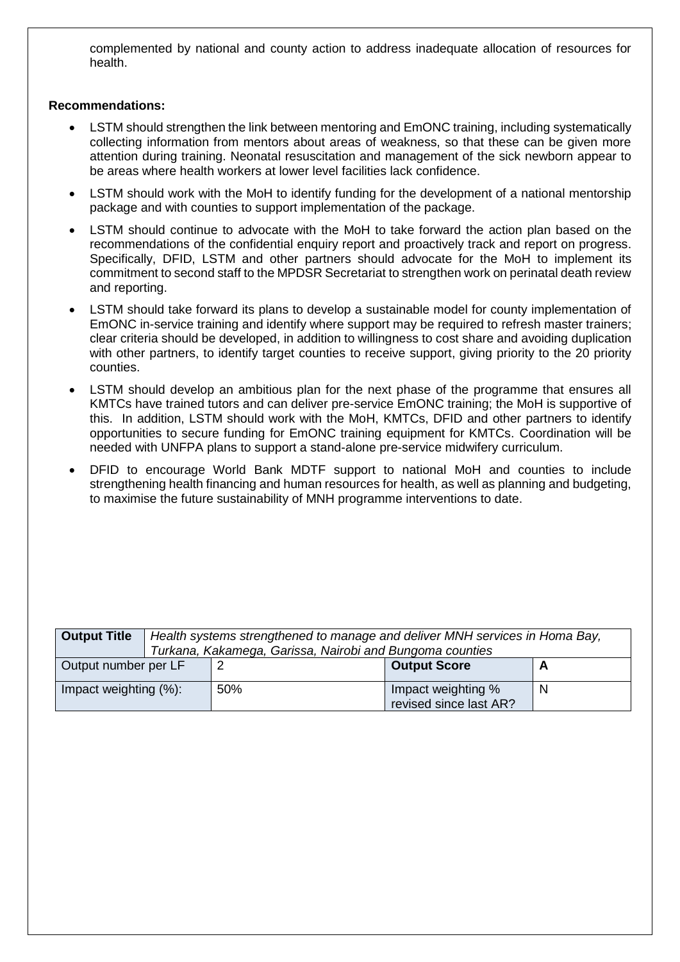complemented by national and county action to address inadequate allocation of resources for health.

#### **Recommendations:**

- LSTM should strengthen the link between mentoring and EmONC training, including systematically collecting information from mentors about areas of weakness, so that these can be given more attention during training. Neonatal resuscitation and management of the sick newborn appear to be areas where health workers at lower level facilities lack confidence.
- LSTM should work with the MoH to identify funding for the development of a national mentorship package and with counties to support implementation of the package.
- LSTM should continue to advocate with the MoH to take forward the action plan based on the recommendations of the confidential enquiry report and proactively track and report on progress. Specifically, DFID, LSTM and other partners should advocate for the MoH to implement its commitment to second staff to the MPDSR Secretariat to strengthen work on perinatal death review and reporting.
- LSTM should take forward its plans to develop a sustainable model for county implementation of EmONC in-service training and identify where support may be required to refresh master trainers; clear criteria should be developed, in addition to willingness to cost share and avoiding duplication with other partners, to identify target counties to receive support, giving priority to the 20 priority counties.
- LSTM should develop an ambitious plan for the next phase of the programme that ensures all KMTCs have trained tutors and can deliver pre-service EmONC training; the MoH is supportive of this. In addition, LSTM should work with the MoH, KMTCs, DFID and other partners to identify opportunities to secure funding for EmONC training equipment for KMTCs. Coordination will be needed with UNFPA plans to support a stand-alone pre-service midwifery curriculum.
- DFID to encourage World Bank MDTF support to national MoH and counties to include strengthening health financing and human resources for health, as well as planning and budgeting, to maximise the future sustainability of MNH programme interventions to date.

| <b>Output Title</b>   | Health systems strengthened to manage and deliver MNH services in Homa Bay,<br>Turkana, Kakamega, Garissa, Nairobi and Bungoma counties |     |                                              |   |
|-----------------------|-----------------------------------------------------------------------------------------------------------------------------------------|-----|----------------------------------------------|---|
| Output number per LF  |                                                                                                                                         |     | <b>Output Score</b>                          |   |
| Impact weighting (%): |                                                                                                                                         | 50% | Impact weighting %<br>revised since last AR? | N |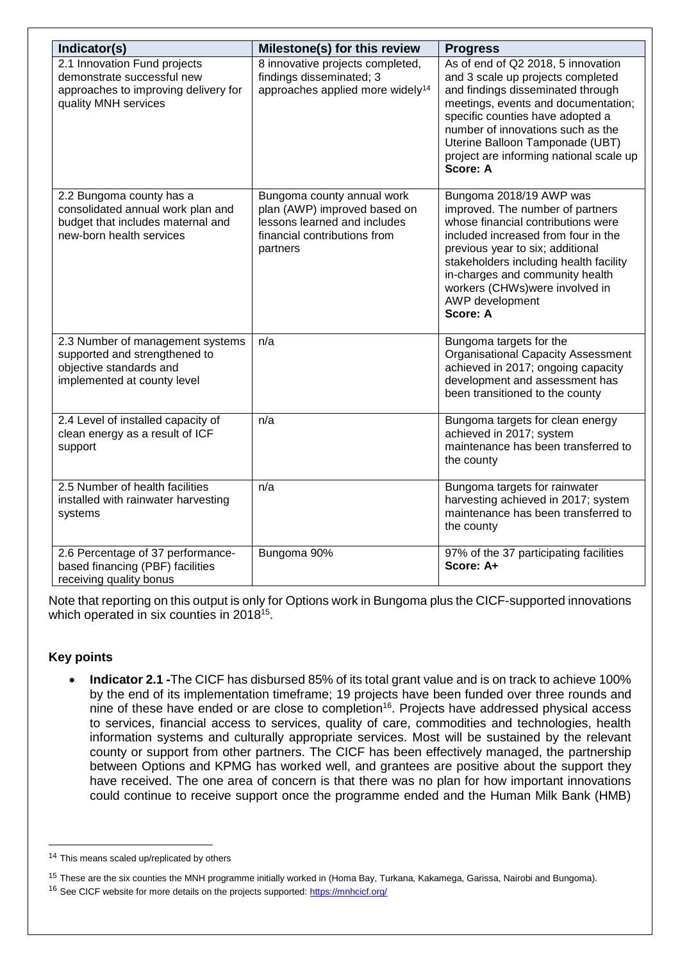| Indicator(s)                                                                                                                   | Milestone(s) for this review                                                                                                           | <b>Progress</b>                                                                                                                                                                                                                                                                                                            |
|--------------------------------------------------------------------------------------------------------------------------------|----------------------------------------------------------------------------------------------------------------------------------------|----------------------------------------------------------------------------------------------------------------------------------------------------------------------------------------------------------------------------------------------------------------------------------------------------------------------------|
| 2.1 Innovation Fund projects<br>demonstrate successful new<br>approaches to improving delivery for<br>quality MNH services     | 8 innovative projects completed,<br>findings disseminated; 3<br>approaches applied more widely <sup>14</sup>                           | As of end of Q2 2018, 5 innovation<br>and 3 scale up projects completed<br>and findings disseminated through<br>meetings, events and documentation;<br>specific counties have adopted a<br>number of innovations such as the<br>Uterine Balloon Tamponade (UBT)<br>project are informing national scale up<br>Score: A     |
| 2.2 Bungoma county has a<br>consolidated annual work plan and<br>budget that includes maternal and<br>new-born health services | Bungoma county annual work<br>plan (AWP) improved based on<br>lessons learned and includes<br>financial contributions from<br>partners | Bungoma 2018/19 AWP was<br>improved. The number of partners<br>whose financial contributions were<br>included increased from four in the<br>previous year to six; additional<br>stakeholders including health facility<br>in-charges and community health<br>workers (CHWs)were involved in<br>AWP development<br>Score: A |
| 2.3 Number of management systems<br>supported and strengthened to<br>objective standards and<br>implemented at county level    | n/a                                                                                                                                    | Bungoma targets for the<br><b>Organisational Capacity Assessment</b><br>achieved in 2017; ongoing capacity<br>development and assessment has<br>been transitioned to the county                                                                                                                                            |
| 2.4 Level of installed capacity of<br>clean energy as a result of ICF<br>support                                               | n/a                                                                                                                                    | Bungoma targets for clean energy<br>achieved in 2017; system<br>maintenance has been transferred to<br>the county                                                                                                                                                                                                          |
| 2.5 Number of health facilities<br>installed with rainwater harvesting<br>systems                                              | n/a                                                                                                                                    | Bungoma targets for rainwater<br>harvesting achieved in 2017; system<br>maintenance has been transferred to<br>the county                                                                                                                                                                                                  |
| 2.6 Percentage of 37 performance-<br>based financing (PBF) facilities<br>receiving quality bonus                               | Bungoma 90%                                                                                                                            | 97% of the 37 participating facilities<br>Score: A+                                                                                                                                                                                                                                                                        |

Note that reporting on this output is only for Options work in Bungoma plus the CICF-supported innovations which operated in six counties in 2018<sup>15</sup>.

### **Key points**

l

 **Indicator 2.1 -**The CICF has disbursed 85% of its total grant value and is on track to achieve 100% by the end of its implementation timeframe; 19 projects have been funded over three rounds and nine of these have ended or are close to completion<sup>16</sup>. Projects have addressed physical access to services, financial access to services, quality of care, commodities and technologies, health information systems and culturally appropriate services. Most will be sustained by the relevant county or support from other partners. The CICF has been effectively managed, the partnership between Options and KPMG has worked well, and grantees are positive about the support they have received. The one area of concern is that there was no plan for how important innovations could continue to receive support once the programme ended and the Human Milk Bank (HMB)

<sup>&</sup>lt;sup>14</sup> This means scaled up/replicated by others

<sup>&</sup>lt;sup>15</sup> These are the six counties the MNH programme initially worked in (Homa Bay, Turkana, Kakamega, Garissa, Nairobi and Bungoma). <sup>16</sup> See CICF website for more details on the projects supported: <https://mnhcicf.org/>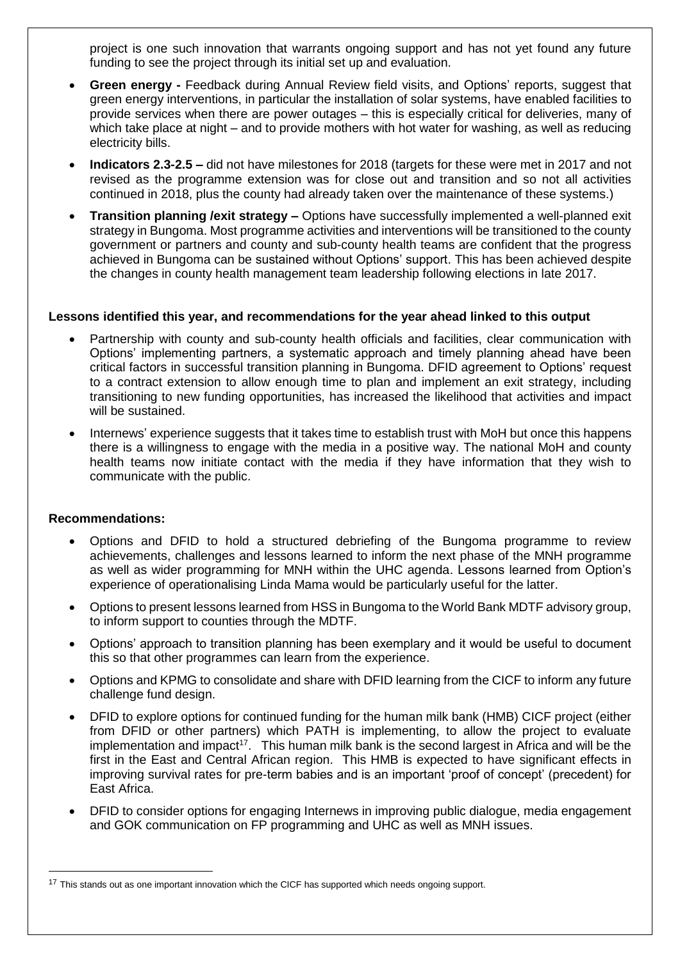project is one such innovation that warrants ongoing support and has not yet found any future funding to see the project through its initial set up and evaluation.

- **Green energy -** Feedback during Annual Review field visits, and Options' reports, suggest that green energy interventions, in particular the installation of solar systems, have enabled facilities to provide services when there are power outages – this is especially critical for deliveries, many of which take place at night – and to provide mothers with hot water for washing, as well as reducing electricity bills.
- **Indicators 2.3-2.5 –** did not have milestones for 2018 (targets for these were met in 2017 and not revised as the programme extension was for close out and transition and so not all activities continued in 2018, plus the county had already taken over the maintenance of these systems.)
- **Transition planning /exit strategy –** Options have successfully implemented a well-planned exit strategy in Bungoma. Most programme activities and interventions will be transitioned to the county government or partners and county and sub-county health teams are confident that the progress achieved in Bungoma can be sustained without Options' support. This has been achieved despite the changes in county health management team leadership following elections in late 2017.

#### **Lessons identified this year, and recommendations for the year ahead linked to this output**

- Partnership with county and sub-county health officials and facilities, clear communication with Options' implementing partners, a systematic approach and timely planning ahead have been critical factors in successful transition planning in Bungoma. DFID agreement to Options' request to a contract extension to allow enough time to plan and implement an exit strategy, including transitioning to new funding opportunities, has increased the likelihood that activities and impact will be sustained.
- Internews' experience suggests that it takes time to establish trust with MoH but once this happens there is a willingness to engage with the media in a positive way. The national MoH and county health teams now initiate contact with the media if they have information that they wish to communicate with the public.

#### **Recommendations:**

- Options and DFID to hold a structured debriefing of the Bungoma programme to review achievements, challenges and lessons learned to inform the next phase of the MNH programme as well as wider programming for MNH within the UHC agenda. Lessons learned from Option's experience of operationalising Linda Mama would be particularly useful for the latter.
- Options to present lessons learned from HSS in Bungoma to the World Bank MDTF advisory group, to inform support to counties through the MDTF.
- Options' approach to transition planning has been exemplary and it would be useful to document this so that other programmes can learn from the experience.
- Options and KPMG to consolidate and share with DFID learning from the CICF to inform any future challenge fund design.
- DFID to explore options for continued funding for the human milk bank (HMB) CICF project (either from DFID or other partners) which PATH is implementing, to allow the project to evaluate implementation and impact<sup>17</sup>. This human milk bank is the second largest in Africa and will be the first in the East and Central African region. This HMB is expected to have significant effects in improving survival rates for pre-term babies and is an important 'proof of concept' (precedent) for East Africa.
- DFID to consider options for engaging Internews in improving public dialogue, media engagement and GOK communication on FP programming and UHC as well as MNH issues.

<sup>&</sup>lt;sup>17</sup> This stands out as one important innovation which the CICF has supported which needs ongoing support.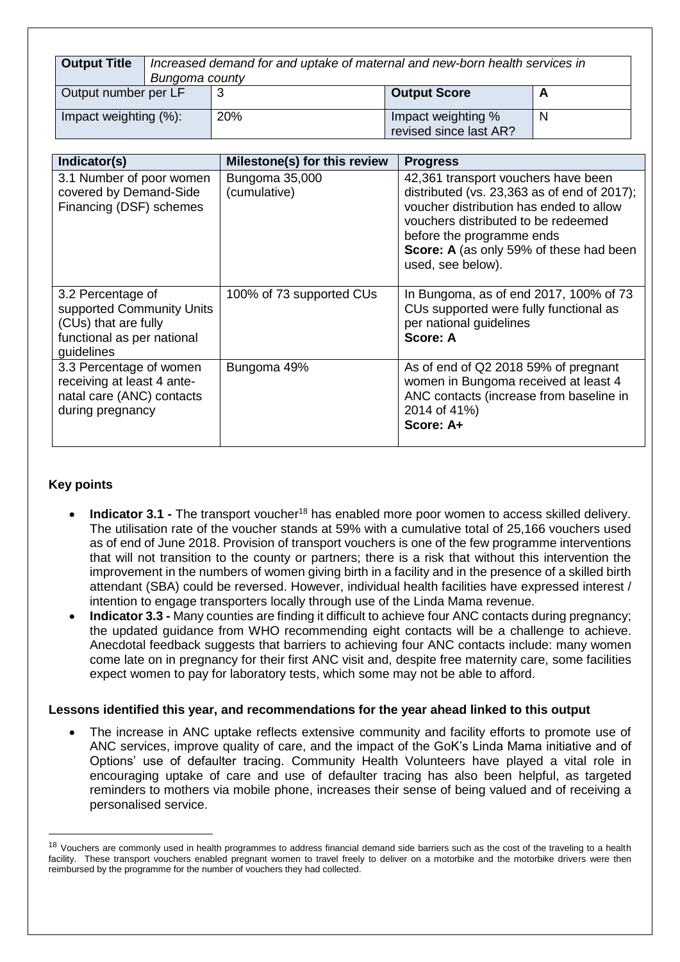| <b>Output Title</b>   | Increased demand for and uptake of maternal and new-born health services in<br>Bungoma county |     |                                              |  |
|-----------------------|-----------------------------------------------------------------------------------------------|-----|----------------------------------------------|--|
| Output number per LF  |                                                                                               |     | <b>Output Score</b>                          |  |
| Impact weighting (%): |                                                                                               | 20% | Impact weighting %<br>revised since last AR? |  |

| Indicator(s)                                                                                                       | Milestone(s) for this review   | <b>Progress</b>                                                                                                                                                                                                                                                        |
|--------------------------------------------------------------------------------------------------------------------|--------------------------------|------------------------------------------------------------------------------------------------------------------------------------------------------------------------------------------------------------------------------------------------------------------------|
| 3.1 Number of poor women<br>covered by Demand-Side<br>Financing (DSF) schemes                                      | Bungoma 35,000<br>(cumulative) | 42,361 transport vouchers have been<br>distributed (vs. $23,363$ as of end of $2017$ );<br>voucher distribution has ended to allow<br>vouchers distributed to be redeemed<br>before the programme ends<br>Score: A (as only 59% of these had been<br>used, see below). |
| 3.2 Percentage of<br>supported Community Units<br>(CUs) that are fully<br>functional as per national<br>guidelines | 100% of 73 supported CUs       | In Bungoma, as of end 2017, 100% of 73<br>CUs supported were fully functional as<br>per national guidelines<br>Score: A                                                                                                                                                |
| 3.3 Percentage of women<br>receiving at least 4 ante-<br>natal care (ANC) contacts<br>during pregnancy             | Bungoma 49%                    | As of end of Q2 2018 59% of pregnant<br>women in Bungoma received at least 4<br>ANC contacts (increase from baseline in<br>2014 of 41%)<br>Score: A+                                                                                                                   |

### **Key points**

l

- **Indicator 3.1 -** The transport voucher<sup>18</sup> has enabled more poor women to access skilled delivery. The utilisation rate of the voucher stands at 59% with a cumulative total of 25,166 vouchers used as of end of June 2018. Provision of transport vouchers is one of the few programme interventions that will not transition to the county or partners; there is a risk that without this intervention the improvement in the numbers of women giving birth in a facility and in the presence of a skilled birth attendant (SBA) could be reversed. However, individual health facilities have expressed interest / intention to engage transporters locally through use of the Linda Mama revenue.
- **Indicator 3.3 -** Many counties are finding it difficult to achieve four ANC contacts during pregnancy; the updated guidance from WHO recommending eight contacts will be a challenge to achieve. Anecdotal feedback suggests that barriers to achieving four ANC contacts include: many women come late on in pregnancy for their first ANC visit and, despite free maternity care, some facilities expect women to pay for laboratory tests, which some may not be able to afford.

#### **Lessons identified this year, and recommendations for the year ahead linked to this output**

 The increase in ANC uptake reflects extensive community and facility efforts to promote use of ANC services, improve quality of care, and the impact of the GoK's Linda Mama initiative and of Options' use of defaulter tracing. Community Health Volunteers have played a vital role in encouraging uptake of care and use of defaulter tracing has also been helpful, as targeted reminders to mothers via mobile phone, increases their sense of being valued and of receiving a personalised service.

<sup>&</sup>lt;sup>18</sup> Vouchers are commonly used in health programmes to address financial demand side barriers such as the cost of the traveling to a health facility. These transport vouchers enabled pregnant women to travel freely to deliver on a motorbike and the motorbike drivers were then reimbursed by the programme for the number of vouchers they had collected.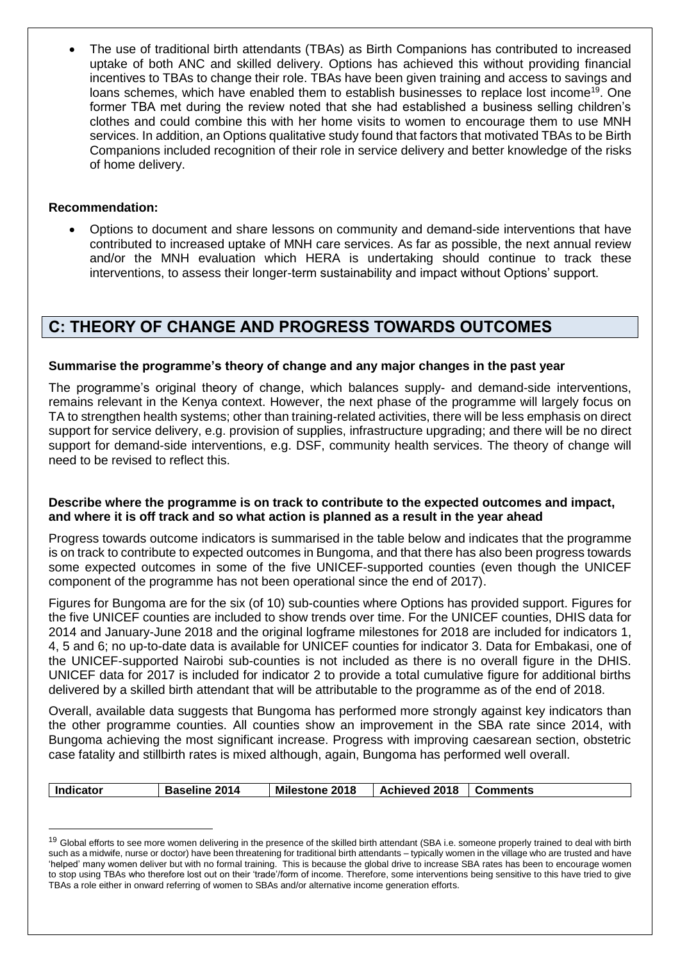The use of traditional birth attendants (TBAs) as Birth Companions has contributed to increased uptake of both ANC and skilled delivery. Options has achieved this without providing financial incentives to TBAs to change their role. TBAs have been given training and access to savings and loans schemes, which have enabled them to establish businesses to replace lost income<sup>19</sup>. One former TBA met during the review noted that she had established a business selling children's clothes and could combine this with her home visits to women to encourage them to use MNH services. In addition, an Options qualitative study found that factors that motivated TBAs to be Birth Companions included recognition of their role in service delivery and better knowledge of the risks of home delivery.

#### **Recommendation:**

l

 Options to document and share lessons on community and demand-side interventions that have contributed to increased uptake of MNH care services. As far as possible, the next annual review and/or the MNH evaluation which HERA is undertaking should continue to track these interventions, to assess their longer-term sustainability and impact without Options' support.

## **C: THEORY OF CHANGE AND PROGRESS TOWARDS OUTCOMES**

#### **Summarise the programme's theory of change and any major changes in the past year**

The programme's original theory of change, which balances supply- and demand-side interventions, remains relevant in the Kenya context. However, the next phase of the programme will largely focus on TA to strengthen health systems; other than training-related activities, there will be less emphasis on direct support for service delivery, e.g. provision of supplies, infrastructure upgrading; and there will be no direct support for demand-side interventions, e.g. DSF, community health services. The theory of change will need to be revised to reflect this.

#### **Describe where the programme is on track to contribute to the expected outcomes and impact, and where it is off track and so what action is planned as a result in the year ahead**

Progress towards outcome indicators is summarised in the table below and indicates that the programme is on track to contribute to expected outcomes in Bungoma, and that there has also been progress towards some expected outcomes in some of the five UNICEF-supported counties (even though the UNICEF component of the programme has not been operational since the end of 2017).

Figures for Bungoma are for the six (of 10) sub-counties where Options has provided support. Figures for the five UNICEF counties are included to show trends over time. For the UNICEF counties, DHIS data for 2014 and January-June 2018 and the original logframe milestones for 2018 are included for indicators 1, 4, 5 and 6; no up-to-date data is available for UNICEF counties for indicator 3. Data for Embakasi, one of the UNICEF-supported Nairobi sub-counties is not included as there is no overall figure in the DHIS. UNICEF data for 2017 is included for indicator 2 to provide a total cumulative figure for additional births delivered by a skilled birth attendant that will be attributable to the programme as of the end of 2018.

Overall, available data suggests that Bungoma has performed more strongly against key indicators than the other programme counties. All counties show an improvement in the SBA rate since 2014, with Bungoma achieving the most significant increase. Progress with improving caesarean section, obstetric case fatality and stillbirth rates is mixed although, again, Bungoma has performed well overall.

| <b>Indicator</b><br><b>Baseline 2014</b> | <b>Milestone 2018</b> | Achieved 2018   Comments |  |
|------------------------------------------|-----------------------|--------------------------|--|
|------------------------------------------|-----------------------|--------------------------|--|

<sup>&</sup>lt;sup>19</sup> Global efforts to see more women delivering in the presence of the skilled birth attendant (SBA i.e. someone properly trained to deal with birth such as a midwife, nurse or doctor) have been threatening for traditional birth attendants – typically women in the village who are trusted and have 'helped' many women deliver but with no formal training. This is because the global drive to increase SBA rates has been to encourage women to stop using TBAs who therefore lost out on their 'trade'/form of income. Therefore, some interventions being sensitive to this have tried to give TBAs a role either in onward referring of women to SBAs and/or alternative income generation efforts.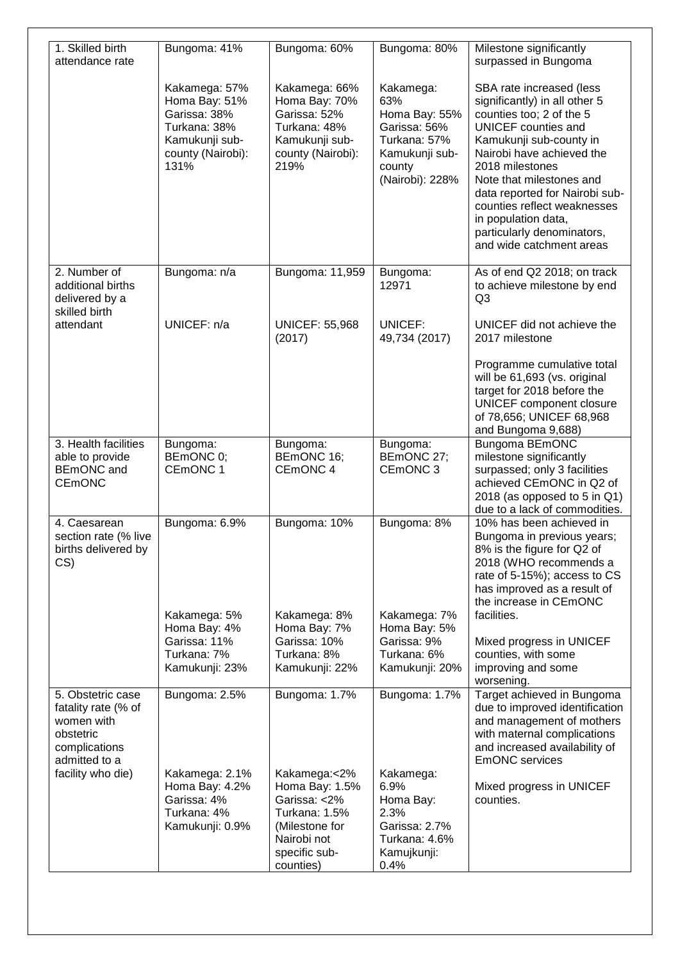| 1. Skilled birth<br>attendance rate                                                                   | Bungoma: 41%                                                                                                  | Bungoma: 60%                                                                                                                   | Bungoma: 80%                                                                                                     | Milestone significantly<br>surpassed in Bungoma                                                                                                                                                                                                                                                                                                                              |
|-------------------------------------------------------------------------------------------------------|---------------------------------------------------------------------------------------------------------------|--------------------------------------------------------------------------------------------------------------------------------|------------------------------------------------------------------------------------------------------------------|------------------------------------------------------------------------------------------------------------------------------------------------------------------------------------------------------------------------------------------------------------------------------------------------------------------------------------------------------------------------------|
|                                                                                                       | Kakamega: 57%<br>Homa Bay: 51%<br>Garissa: 38%<br>Turkana: 38%<br>Kamukunji sub-<br>county (Nairobi):<br>131% | Kakamega: 66%<br>Homa Bay: 70%<br>Garissa: 52%<br>Turkana: 48%<br>Kamukunji sub-<br>county (Nairobi):<br>219%                  | Kakamega:<br>63%<br>Homa Bay: 55%<br>Garissa: 56%<br>Turkana: 57%<br>Kamukunji sub-<br>county<br>(Nairobi): 228% | SBA rate increased (less<br>significantly) in all other 5<br>counties too; 2 of the 5<br><b>UNICEF</b> counties and<br>Kamukunji sub-county in<br>Nairobi have achieved the<br>2018 milestones<br>Note that milestones and<br>data reported for Nairobi sub-<br>counties reflect weaknesses<br>in population data,<br>particularly denominators,<br>and wide catchment areas |
| 2. Number of<br>additional births<br>delivered by a<br>skilled birth                                  | Bungoma: n/a                                                                                                  | Bungoma: 11,959                                                                                                                | Bungoma:<br>12971                                                                                                | As of end Q2 2018; on track<br>to achieve milestone by end<br>Q <sub>3</sub>                                                                                                                                                                                                                                                                                                 |
| attendant                                                                                             | UNICEF: n/a                                                                                                   | <b>UNICEF: 55,968</b><br>(2017)                                                                                                | UNICEF:<br>49,734 (2017)                                                                                         | UNICEF did not achieve the<br>2017 milestone                                                                                                                                                                                                                                                                                                                                 |
|                                                                                                       |                                                                                                               |                                                                                                                                |                                                                                                                  | Programme cumulative total<br>will be 61,693 (vs. original<br>target for 2018 before the<br>UNICEF component closure<br>of 78,656; UNICEF 68,968<br>and Bungoma 9,688)                                                                                                                                                                                                       |
| 3. Health facilities<br>able to provide<br>BEmONC and<br><b>CEMONC</b>                                | Bungoma:<br>BEmONC 0;<br>CEmONC 1                                                                             | Bungoma:<br>BEmONC 16;<br>CEmONC 4                                                                                             | Bungoma:<br>BEmONC 27;<br>CEmONC <sub>3</sub>                                                                    | <b>Bungoma BEmONC</b><br>milestone significantly<br>surpassed; only 3 facilities<br>achieved CEmONC in Q2 of<br>2018 (as opposed to 5 in Q1)<br>due to a lack of commodities.                                                                                                                                                                                                |
| 4. Caesarean<br>section rate (% live<br>births delivered by<br>CS                                     | Bungoma: 6.9%<br>Kakamega: 5%                                                                                 | Bungoma: 10%<br>Kakamega: 8%                                                                                                   | Bungoma: 8%<br>Kakamega: 7%                                                                                      | 10% has been achieved in<br>Bungoma in previous years;<br>8% is the figure for Q2 of<br>2018 (WHO recommends a<br>rate of 5-15%); access to CS<br>has improved as a result of<br>the increase in CEmONC<br>facilities.                                                                                                                                                       |
|                                                                                                       | Homa Bay: 4%<br>Garissa: 11%<br>Turkana: 7%<br>Kamukunji: 23%                                                 | Homa Bay: 7%<br>Garissa: 10%<br>Turkana: 8%<br>Kamukunji: 22%                                                                  | Homa Bay: 5%<br>Garissa: 9%<br>Turkana: 6%<br>Kamukunji: 20%                                                     | Mixed progress in UNICEF<br>counties, with some<br>improving and some<br>worsening.                                                                                                                                                                                                                                                                                          |
| 5. Obstetric case<br>fatality rate (% of<br>women with<br>obstetric<br>complications<br>admitted to a | Bungoma: 2.5%                                                                                                 | Bungoma: 1.7%                                                                                                                  | Bungoma: 1.7%                                                                                                    | Target achieved in Bungoma<br>due to improved identification<br>and management of mothers<br>with maternal complications<br>and increased availability of<br><b>EmONC</b> services                                                                                                                                                                                           |
| facility who die)                                                                                     | Kakamega: 2.1%<br>Homa Bay: 4.2%<br>Garissa: 4%<br>Turkana: 4%<br>Kamukunji: 0.9%                             | Kakamega:<2%<br>Homa Bay: 1.5%<br>Garissa: <2%<br>Turkana: 1.5%<br>(Milestone for<br>Nairobi not<br>specific sub-<br>counties) | Kakamega:<br>6.9%<br>Homa Bay:<br>2.3%<br>Garissa: 2.7%<br>Turkana: 4.6%<br>Kamujkunji:<br>0.4%                  | Mixed progress in UNICEF<br>counties.                                                                                                                                                                                                                                                                                                                                        |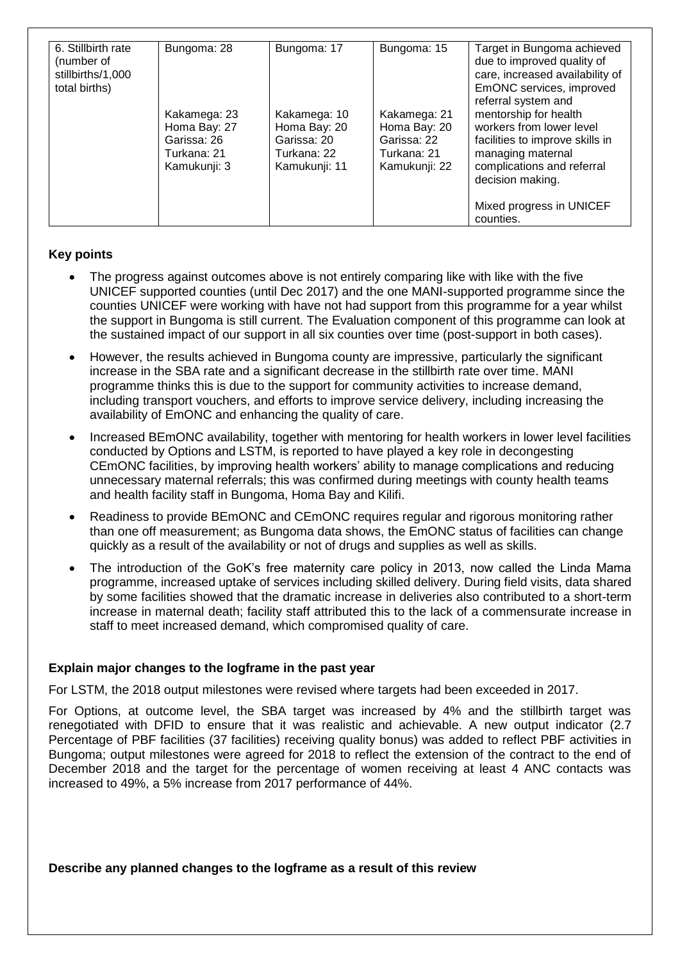| 6. Stillbirth rate<br>(number of<br>stillbirths/1,000<br>total births) | Bungoma: 28                                                                | Bungoma: 17                                                                 | Bungoma: 15                                                                 | Target in Bungoma achieved<br>due to improved quality of<br>care, increased availability of<br>EmONC services, improved<br>referral system and              |  |
|------------------------------------------------------------------------|----------------------------------------------------------------------------|-----------------------------------------------------------------------------|-----------------------------------------------------------------------------|-------------------------------------------------------------------------------------------------------------------------------------------------------------|--|
|                                                                        | Kakamega: 23<br>Homa Bay: 27<br>Garissa: 26<br>Turkana: 21<br>Kamukunji: 3 | Kakamega: 10<br>Homa Bay: 20<br>Garissa: 20<br>Turkana: 22<br>Kamukunji: 11 | Kakamega: 21<br>Homa Bay: 20<br>Garissa: 22<br>Turkana: 21<br>Kamukunji: 22 | mentorship for health<br>workers from lower level<br>facilities to improve skills in<br>managing maternal<br>complications and referral<br>decision making. |  |
|                                                                        |                                                                            |                                                                             |                                                                             | Mixed progress in UNICEF<br>counties.                                                                                                                       |  |

#### **Key points**

- The progress against outcomes above is not entirely comparing like with like with the five UNICEF supported counties (until Dec 2017) and the one MANI-supported programme since the counties UNICEF were working with have not had support from this programme for a year whilst the support in Bungoma is still current. The Evaluation component of this programme can look at the sustained impact of our support in all six counties over time (post-support in both cases).
- However, the results achieved in Bungoma county are impressive, particularly the significant increase in the SBA rate and a significant decrease in the stillbirth rate over time. MANI programme thinks this is due to the support for community activities to increase demand, including transport vouchers, and efforts to improve service delivery, including increasing the availability of EmONC and enhancing the quality of care.
- Increased BEmONC availability, together with mentoring for health workers in lower level facilities conducted by Options and LSTM, is reported to have played a key role in decongesting CEmONC facilities, by improving health workers' ability to manage complications and reducing unnecessary maternal referrals; this was confirmed during meetings with county health teams and health facility staff in Bungoma, Homa Bay and Kilifi.
- Readiness to provide BEmONC and CEmONC requires regular and rigorous monitoring rather than one off measurement; as Bungoma data shows, the EmONC status of facilities can change quickly as a result of the availability or not of drugs and supplies as well as skills.
- The introduction of the GoK's free maternity care policy in 2013, now called the Linda Mama programme, increased uptake of services including skilled delivery. During field visits, data shared by some facilities showed that the dramatic increase in deliveries also contributed to a short-term increase in maternal death; facility staff attributed this to the lack of a commensurate increase in staff to meet increased demand, which compromised quality of care.

#### **Explain major changes to the logframe in the past year**

For LSTM, the 2018 output milestones were revised where targets had been exceeded in 2017.

For Options, at outcome level, the SBA target was increased by 4% and the stillbirth target was renegotiated with DFID to ensure that it was realistic and achievable. A new output indicator (2.7 Percentage of PBF facilities (37 facilities) receiving quality bonus) was added to reflect PBF activities in Bungoma; output milestones were agreed for 2018 to reflect the extension of the contract to the end of December 2018 and the target for the percentage of women receiving at least 4 ANC contacts was increased to 49%, a 5% increase from 2017 performance of 44%.

**Describe any planned changes to the logframe as a result of this review**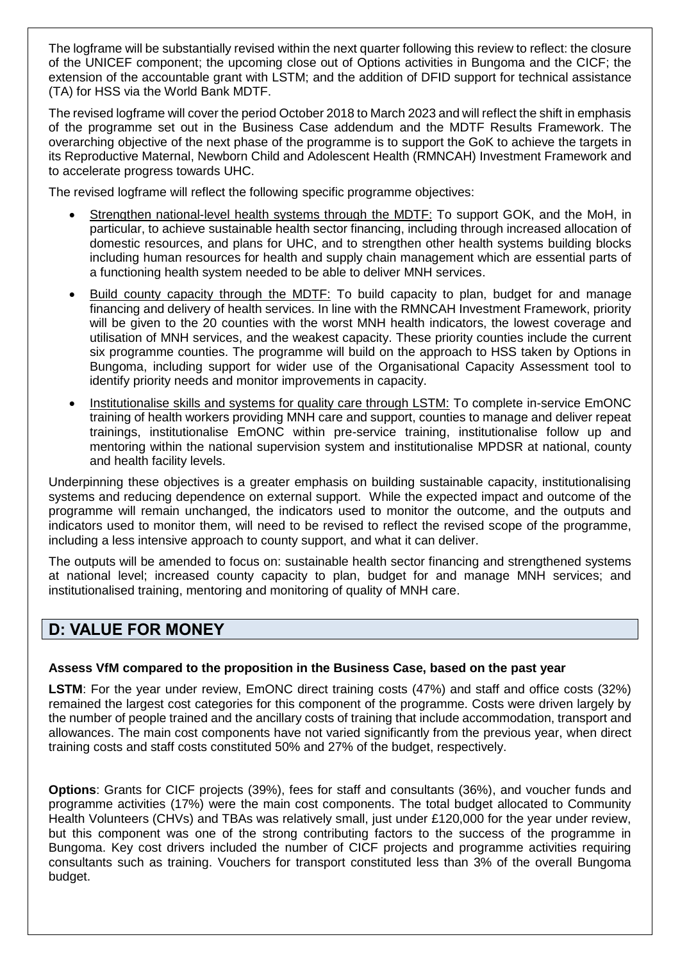The logframe will be substantially revised within the next quarter following this review to reflect: the closure of the UNICEF component; the upcoming close out of Options activities in Bungoma and the CICF; the extension of the accountable grant with LSTM; and the addition of DFID support for technical assistance (TA) for HSS via the World Bank MDTF.

The revised logframe will cover the period October 2018 to March 2023 and will reflect the shift in emphasis of the programme set out in the Business Case addendum and the MDTF Results Framework. The overarching objective of the next phase of the programme is to support the GoK to achieve the targets in its Reproductive Maternal, Newborn Child and Adolescent Health (RMNCAH) Investment Framework and to accelerate progress towards UHC.

The revised logframe will reflect the following specific programme objectives:

- Strengthen national-level health systems through the MDTF: To support GOK, and the MoH, in particular, to achieve sustainable health sector financing, including through increased allocation of domestic resources, and plans for UHC, and to strengthen other health systems building blocks including human resources for health and supply chain management which are essential parts of a functioning health system needed to be able to deliver MNH services.
- Build county capacity through the MDTF: To build capacity to plan, budget for and manage financing and delivery of health services. In line with the RMNCAH Investment Framework, priority will be given to the 20 counties with the worst MNH health indicators, the lowest coverage and utilisation of MNH services, and the weakest capacity. These priority counties include the current six programme counties. The programme will build on the approach to HSS taken by Options in Bungoma, including support for wider use of the Organisational Capacity Assessment tool to identify priority needs and monitor improvements in capacity.
- Institutionalise skills and systems for quality care through LSTM: To complete in-service EmONC training of health workers providing MNH care and support, counties to manage and deliver repeat trainings, institutionalise EmONC within pre-service training, institutionalise follow up and mentoring within the national supervision system and institutionalise MPDSR at national, county and health facility levels.

Underpinning these objectives is a greater emphasis on building sustainable capacity, institutionalising systems and reducing dependence on external support. While the expected impact and outcome of the programme will remain unchanged, the indicators used to monitor the outcome, and the outputs and indicators used to monitor them, will need to be revised to reflect the revised scope of the programme, including a less intensive approach to county support, and what it can deliver.

The outputs will be amended to focus on: sustainable health sector financing and strengthened systems at national level; increased county capacity to plan, budget for and manage MNH services; and institutionalised training, mentoring and monitoring of quality of MNH care.

## **D: VALUE FOR MONEY**

### **Assess VfM compared to the proposition in the Business Case, based on the past year**

**LSTM**: For the year under review, EmONC direct training costs (47%) and staff and office costs (32%) remained the largest cost categories for this component of the programme. Costs were driven largely by the number of people trained and the ancillary costs of training that include accommodation, transport and allowances. The main cost components have not varied significantly from the previous year, when direct training costs and staff costs constituted 50% and 27% of the budget, respectively.

**Options**: Grants for CICF projects (39%), fees for staff and consultants (36%), and voucher funds and programme activities (17%) were the main cost components. The total budget allocated to Community Health Volunteers (CHVs) and TBAs was relatively small, just under £120,000 for the year under review, but this component was one of the strong contributing factors to the success of the programme in Bungoma. Key cost drivers included the number of CICF projects and programme activities requiring consultants such as training. Vouchers for transport constituted less than 3% of the overall Bungoma budget.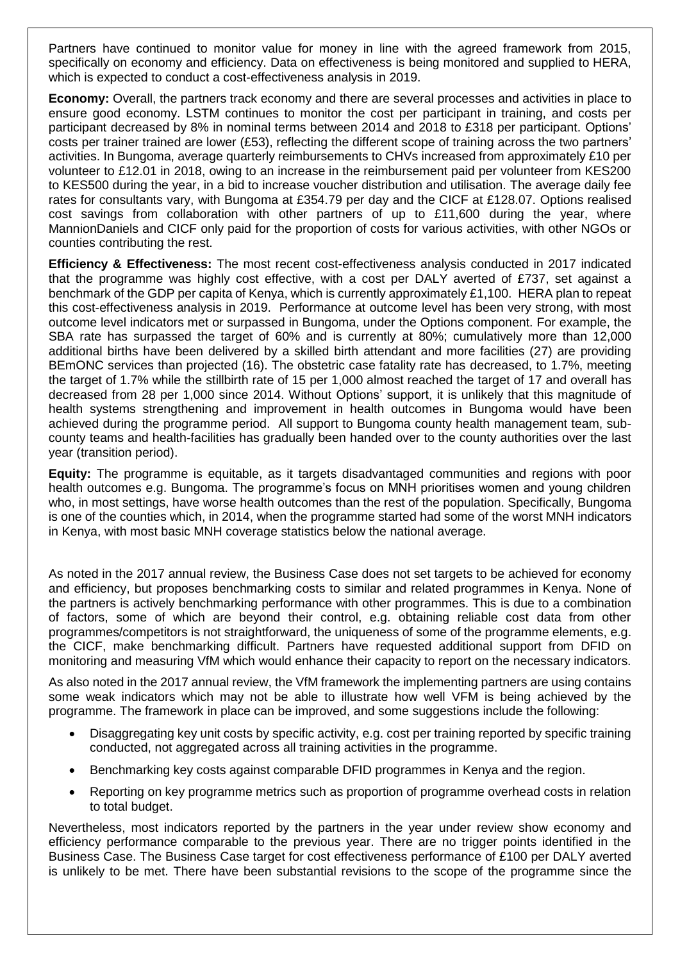Partners have continued to monitor value for money in line with the agreed framework from 2015, specifically on economy and efficiency. Data on effectiveness is being monitored and supplied to HERA, which is expected to conduct a cost-effectiveness analysis in 2019.

**Economy:** Overall, the partners track economy and there are several processes and activities in place to ensure good economy. LSTM continues to monitor the cost per participant in training, and costs per participant decreased by 8% in nominal terms between 2014 and 2018 to £318 per participant. Options' costs per trainer trained are lower (£53), reflecting the different scope of training across the two partners' activities. In Bungoma, average quarterly reimbursements to CHVs increased from approximately £10 per volunteer to £12.01 in 2018, owing to an increase in the reimbursement paid per volunteer from KES200 to KES500 during the year, in a bid to increase voucher distribution and utilisation. The average daily fee rates for consultants vary, with Bungoma at £354.79 per day and the CICF at £128.07. Options realised cost savings from collaboration with other partners of up to £11,600 during the year, where MannionDaniels and CICF only paid for the proportion of costs for various activities, with other NGOs or counties contributing the rest.

**Efficiency & Effectiveness:** The most recent cost-effectiveness analysis conducted in 2017 indicated that the programme was highly cost effective, with a cost per DALY averted of £737, set against a benchmark of the GDP per capita of Kenya, which is currently approximately £1,100. HERA plan to repeat this cost-effectiveness analysis in 2019. Performance at outcome level has been very strong, with most outcome level indicators met or surpassed in Bungoma, under the Options component. For example, the SBA rate has surpassed the target of 60% and is currently at 80%; cumulatively more than 12,000 additional births have been delivered by a skilled birth attendant and more facilities (27) are providing BEmONC services than projected (16). The obstetric case fatality rate has decreased, to 1.7%, meeting the target of 1.7% while the stillbirth rate of 15 per 1,000 almost reached the target of 17 and overall has decreased from 28 per 1,000 since 2014. Without Options' support, it is unlikely that this magnitude of health systems strengthening and improvement in health outcomes in Bungoma would have been achieved during the programme period. All support to Bungoma county health management team, subcounty teams and health-facilities has gradually been handed over to the county authorities over the last year (transition period).

**Equity:** The programme is equitable, as it targets disadvantaged communities and regions with poor health outcomes e.g. Bungoma. The programme's focus on MNH prioritises women and young children who, in most settings, have worse health outcomes than the rest of the population. Specifically, Bungoma is one of the counties which, in 2014, when the programme started had some of the worst MNH indicators in Kenya, with most basic MNH coverage statistics below the national average.

As noted in the 2017 annual review, the Business Case does not set targets to be achieved for economy and efficiency, but proposes benchmarking costs to similar and related programmes in Kenya. None of the partners is actively benchmarking performance with other programmes. This is due to a combination of factors, some of which are beyond their control, e.g. obtaining reliable cost data from other programmes/competitors is not straightforward, the uniqueness of some of the programme elements, e.g. the CICF, make benchmarking difficult. Partners have requested additional support from DFID on monitoring and measuring VfM which would enhance their capacity to report on the necessary indicators.

As also noted in the 2017 annual review, the VfM framework the implementing partners are using contains some weak indicators which may not be able to illustrate how well VFM is being achieved by the programme. The framework in place can be improved, and some suggestions include the following:

- Disaggregating key unit costs by specific activity, e.g. cost per training reported by specific training conducted, not aggregated across all training activities in the programme.
- Benchmarking key costs against comparable DFID programmes in Kenya and the region.
- Reporting on key programme metrics such as proportion of programme overhead costs in relation to total budget.

Nevertheless, most indicators reported by the partners in the year under review show economy and efficiency performance comparable to the previous year. There are no trigger points identified in the Business Case. The Business Case target for cost effectiveness performance of £100 per DALY averted is unlikely to be met. There have been substantial revisions to the scope of the programme since the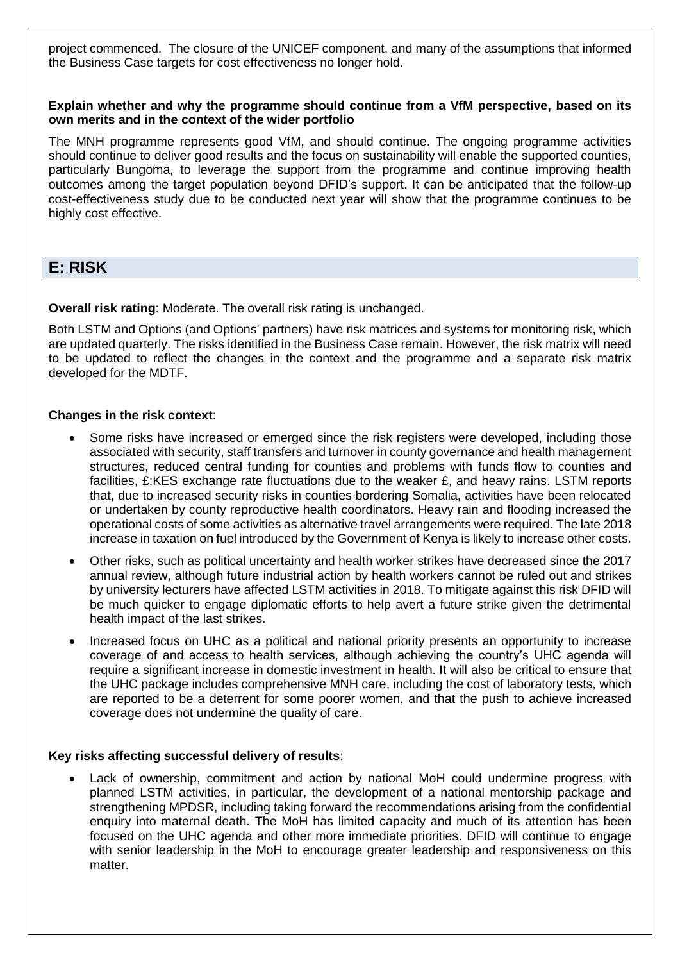project commenced. The closure of the UNICEF component, and many of the assumptions that informed the Business Case targets for cost effectiveness no longer hold.

#### **Explain whether and why the programme should continue from a VfM perspective, based on its own merits and in the context of the wider portfolio**

The MNH programme represents good VfM, and should continue. The ongoing programme activities should continue to deliver good results and the focus on sustainability will enable the supported counties, particularly Bungoma, to leverage the support from the programme and continue improving health outcomes among the target population beyond DFID's support. It can be anticipated that the follow-up cost-effectiveness study due to be conducted next year will show that the programme continues to be highly cost effective.

## **E: RISK**

**Overall risk rating**: Moderate. The overall risk rating is unchanged.

Both LSTM and Options (and Options' partners) have risk matrices and systems for monitoring risk, which are updated quarterly. The risks identified in the Business Case remain. However, the risk matrix will need to be updated to reflect the changes in the context and the programme and a separate risk matrix developed for the MDTF.

#### **Changes in the risk context**:

- Some risks have increased or emerged since the risk registers were developed, including those associated with security, staff transfers and turnover in county governance and health management structures, reduced central funding for counties and problems with funds flow to counties and facilities, £:KES exchange rate fluctuations due to the weaker £, and heavy rains. LSTM reports that, due to increased security risks in counties bordering Somalia, activities have been relocated or undertaken by county reproductive health coordinators. Heavy rain and flooding increased the operational costs of some activities as alternative travel arrangements were required. The late 2018 increase in taxation on fuel introduced by the Government of Kenya is likely to increase other costs.
- Other risks, such as political uncertainty and health worker strikes have decreased since the 2017 annual review, although future industrial action by health workers cannot be ruled out and strikes by university lecturers have affected LSTM activities in 2018. To mitigate against this risk DFID will be much quicker to engage diplomatic efforts to help avert a future strike given the detrimental health impact of the last strikes.
- Increased focus on UHC as a political and national priority presents an opportunity to increase coverage of and access to health services, although achieving the country's UHC agenda will require a significant increase in domestic investment in health. It will also be critical to ensure that the UHC package includes comprehensive MNH care, including the cost of laboratory tests, which are reported to be a deterrent for some poorer women, and that the push to achieve increased coverage does not undermine the quality of care.

#### **Key risks affecting successful delivery of results**:

 Lack of ownership, commitment and action by national MoH could undermine progress with planned LSTM activities, in particular, the development of a national mentorship package and strengthening MPDSR, including taking forward the recommendations arising from the confidential enquiry into maternal death. The MoH has limited capacity and much of its attention has been focused on the UHC agenda and other more immediate priorities. DFID will continue to engage with senior leadership in the MoH to encourage greater leadership and responsiveness on this matter.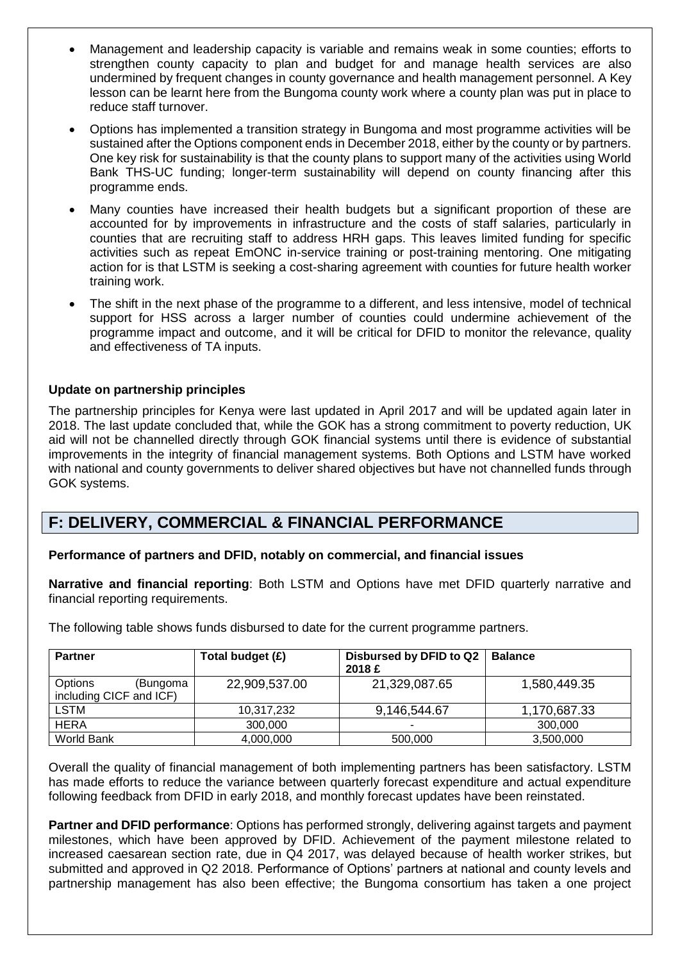- Management and leadership capacity is variable and remains weak in some counties; efforts to strengthen county capacity to plan and budget for and manage health services are also undermined by frequent changes in county governance and health management personnel. A Key lesson can be learnt here from the Bungoma county work where a county plan was put in place to reduce staff turnover.
- Options has implemented a transition strategy in Bungoma and most programme activities will be sustained after the Options component ends in December 2018, either by the county or by partners. One key risk for sustainability is that the county plans to support many of the activities using World Bank THS-UC funding; longer-term sustainability will depend on county financing after this programme ends.
- Many counties have increased their health budgets but a significant proportion of these are accounted for by improvements in infrastructure and the costs of staff salaries, particularly in counties that are recruiting staff to address HRH gaps. This leaves limited funding for specific activities such as repeat EmONC in-service training or post-training mentoring. One mitigating action for is that LSTM is seeking a cost-sharing agreement with counties for future health worker training work.
- The shift in the next phase of the programme to a different, and less intensive, model of technical support for HSS across a larger number of counties could undermine achievement of the programme impact and outcome, and it will be critical for DFID to monitor the relevance, quality and effectiveness of TA inputs.

#### **Update on partnership principles**

The partnership principles for Kenya were last updated in April 2017 and will be updated again later in 2018. The last update concluded that, while the GOK has a strong commitment to poverty reduction, UK aid will not be channelled directly through GOK financial systems until there is evidence of substantial improvements in the integrity of financial management systems. Both Options and LSTM have worked with national and county governments to deliver shared objectives but have not channelled funds through GOK systems.

## **F: DELIVERY, COMMERCIAL & FINANCIAL PERFORMANCE**

#### **Performance of partners and DFID, notably on commercial, and financial issues**

**Narrative and financial reporting**: Both LSTM and Options have met DFID quarterly narrative and financial reporting requirements.

The following table shows funds disbursed to date for the current programme partners.

| <b>Partner</b>                                 | Total budget (£) | Disbursed by DFID to Q2<br>2018 £ | <b>Balance</b> |
|------------------------------------------------|------------------|-----------------------------------|----------------|
| Options<br>(Bungoma<br>including CICF and ICF) | 22,909,537.00    | 21,329,087.65                     | 1,580,449.35   |
| LSTM                                           | 10,317,232       | 9,146,544.67                      | 1,170,687.33   |
| <b>HERA</b>                                    | 300,000          | ٠                                 | 300,000        |
| World Bank                                     | 4,000,000        | 500,000                           | 3,500,000      |

Overall the quality of financial management of both implementing partners has been satisfactory. LSTM has made efforts to reduce the variance between quarterly forecast expenditure and actual expenditure following feedback from DFID in early 2018, and monthly forecast updates have been reinstated.

**Partner and DFID performance**: Options has performed strongly, delivering against targets and payment milestones, which have been approved by DFID. Achievement of the payment milestone related to increased caesarean section rate, due in Q4 2017, was delayed because of health worker strikes, but submitted and approved in Q2 2018. Performance of Options' partners at national and county levels and partnership management has also been effective; the Bungoma consortium has taken a one project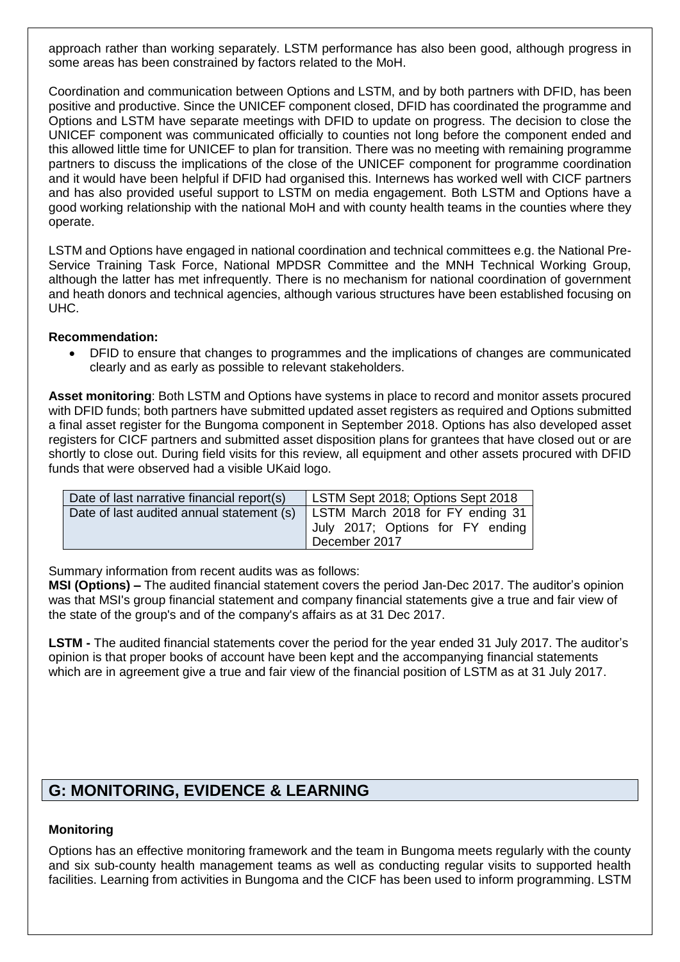approach rather than working separately. LSTM performance has also been good, although progress in some areas has been constrained by factors related to the MoH.

Coordination and communication between Options and LSTM, and by both partners with DFID, has been positive and productive. Since the UNICEF component closed, DFID has coordinated the programme and Options and LSTM have separate meetings with DFID to update on progress. The decision to close the UNICEF component was communicated officially to counties not long before the component ended and this allowed little time for UNICEF to plan for transition. There was no meeting with remaining programme partners to discuss the implications of the close of the UNICEF component for programme coordination and it would have been helpful if DFID had organised this. Internews has worked well with CICF partners and has also provided useful support to LSTM on media engagement. Both LSTM and Options have a good working relationship with the national MoH and with county health teams in the counties where they operate.

LSTM and Options have engaged in national coordination and technical committees e.g. the National Pre-Service Training Task Force, National MPDSR Committee and the MNH Technical Working Group, although the latter has met infrequently. There is no mechanism for national coordination of government and heath donors and technical agencies, although various structures have been established focusing on UHC.

#### **Recommendation:**

 DFID to ensure that changes to programmes and the implications of changes are communicated clearly and as early as possible to relevant stakeholders.

**Asset monitoring**: Both LSTM and Options have systems in place to record and monitor assets procured with DFID funds; both partners have submitted updated asset registers as required and Options submitted a final asset register for the Bungoma component in September 2018. Options has also developed asset registers for CICF partners and submitted asset disposition plans for grantees that have closed out or are shortly to close out. During field visits for this review, all equipment and other assets procured with DFID funds that were observed had a visible UKaid logo.

| Date of last narrative financial report(s) | LSTM Sept 2018; Options Sept 2018                                                     |  |
|--------------------------------------------|---------------------------------------------------------------------------------------|--|
| Date of last audited annual statement (s)  | LSTM March 2018 for FY ending 31<br>July 2017; Options for FY ending<br>December 2017 |  |

Summary information from recent audits was as follows:

**MSI (Options) –** The audited financial statement covers the period Jan-Dec 2017. The auditor's opinion was that MSI's group financial statement and company financial statements give a true and fair view of the state of the group's and of the company's affairs as at 31 Dec 2017.

**LSTM -** The audited financial statements cover the period for the year ended 31 July 2017. The auditor's opinion is that proper books of account have been kept and the accompanying financial statements which are in agreement give a true and fair view of the financial position of LSTM as at 31 July 2017.

## **G: MONITORING, EVIDENCE & LEARNING**

#### **Monitoring**

Options has an effective monitoring framework and the team in Bungoma meets regularly with the county and six sub-county health management teams as well as conducting regular visits to supported health facilities. Learning from activities in Bungoma and the CICF has been used to inform programming. LSTM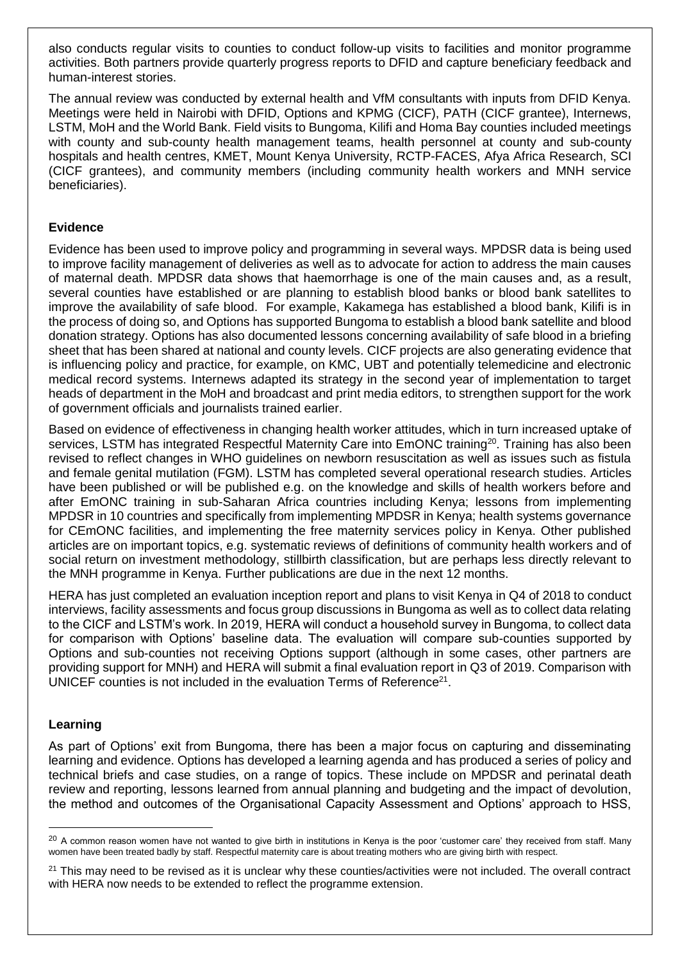also conducts regular visits to counties to conduct follow-up visits to facilities and monitor programme activities. Both partners provide quarterly progress reports to DFID and capture beneficiary feedback and human-interest stories.

The annual review was conducted by external health and VfM consultants with inputs from DFID Kenya. Meetings were held in Nairobi with DFID, Options and KPMG (CICF), PATH (CICF grantee), Internews, LSTM, MoH and the World Bank. Field visits to Bungoma, Kilifi and Homa Bay counties included meetings with county and sub-county health management teams, health personnel at county and sub-county hospitals and health centres, KMET, Mount Kenya University, RCTP-FACES, Afya Africa Research, SCI (CICF grantees), and community members (including community health workers and MNH service beneficiaries).

#### **Evidence**

Evidence has been used to improve policy and programming in several ways. MPDSR data is being used to improve facility management of deliveries as well as to advocate for action to address the main causes of maternal death. MPDSR data shows that haemorrhage is one of the main causes and, as a result, several counties have established or are planning to establish blood banks or blood bank satellites to improve the availability of safe blood. For example, Kakamega has established a blood bank, Kilifi is in the process of doing so, and Options has supported Bungoma to establish a blood bank satellite and blood donation strategy. Options has also documented lessons concerning availability of safe blood in a briefing sheet that has been shared at national and county levels. CICF projects are also generating evidence that is influencing policy and practice, for example, on KMC, UBT and potentially telemedicine and electronic medical record systems. Internews adapted its strategy in the second year of implementation to target heads of department in the MoH and broadcast and print media editors, to strengthen support for the work of government officials and journalists trained earlier.

Based on evidence of effectiveness in changing health worker attitudes, which in turn increased uptake of services, LSTM has integrated Respectful Maternity Care into EmONC training<sup>20</sup>. Training has also been revised to reflect changes in WHO guidelines on newborn resuscitation as well as issues such as fistula and female genital mutilation (FGM). LSTM has completed several operational research studies. Articles have been published or will be published e.g. on the knowledge and skills of health workers before and after EmONC training in sub-Saharan Africa countries including Kenya; lessons from implementing MPDSR in 10 countries and specifically from implementing MPDSR in Kenya; health systems governance for CEmONC facilities, and implementing the free maternity services policy in Kenya. Other published articles are on important topics, e.g. systematic reviews of definitions of community health workers and of social return on investment methodology, stillbirth classification, but are perhaps less directly relevant to the MNH programme in Kenya. Further publications are due in the next 12 months.

HERA has just completed an evaluation inception report and plans to visit Kenya in Q4 of 2018 to conduct interviews, facility assessments and focus group discussions in Bungoma as well as to collect data relating to the CICF and LSTM's work. In 2019, HERA will conduct a household survey in Bungoma, to collect data for comparison with Options' baseline data. The evaluation will compare sub-counties supported by Options and sub-counties not receiving Options support (although in some cases, other partners are providing support for MNH) and HERA will submit a final evaluation report in Q3 of 2019. Comparison with UNICEF counties is not included in the evaluation Terms of Reference<sup>21</sup>.

#### **Learning**

l

As part of Options' exit from Bungoma, there has been a major focus on capturing and disseminating learning and evidence. Options has developed a learning agenda and has produced a series of policy and technical briefs and case studies, on a range of topics. These include on MPDSR and perinatal death review and reporting, lessons learned from annual planning and budgeting and the impact of devolution, the method and outcomes of the Organisational Capacity Assessment and Options' approach to HSS,

<sup>&</sup>lt;sup>20</sup> A common reason women have not wanted to give birth in institutions in Kenya is the poor 'customer care' they received from staff. Many women have been treated badly by staff. Respectful maternity care is about treating mothers who are giving birth with respect.

 $21$  This may need to be revised as it is unclear why these counties/activities were not included. The overall contract with HERA now needs to be extended to reflect the programme extension.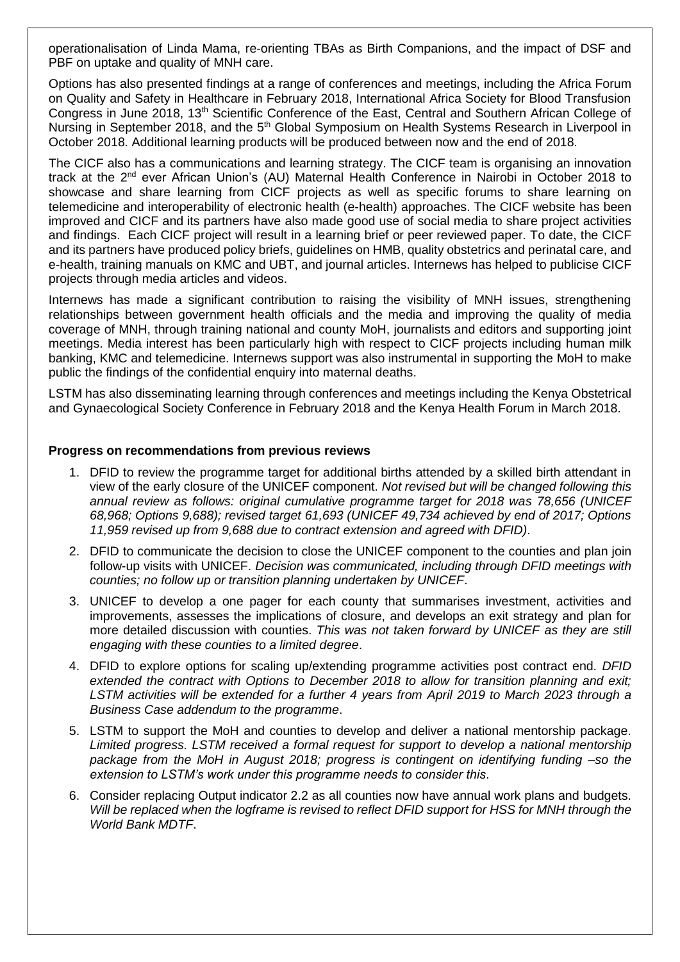operationalisation of Linda Mama, re-orienting TBAs as Birth Companions, and the impact of DSF and PBF on uptake and quality of MNH care.

Options has also presented findings at a range of conferences and meetings, including the Africa Forum on Quality and Safety in Healthcare in February 2018, International Africa Society for Blood Transfusion Congress in June 2018, 13th Scientific Conference of the East, Central and Southern African College of Nursing in September 2018, and the 5<sup>th</sup> Global Symposium on Health Systems Research in Liverpool in October 2018. Additional learning products will be produced between now and the end of 2018.

The CICF also has a communications and learning strategy. The CICF team is organising an innovation track at the 2<sup>nd</sup> ever African Union's (AU) Maternal Health Conference in Nairobi in October 2018 to showcase and share learning from CICF projects as well as specific forums to share learning on telemedicine and interoperability of electronic health (e-health) approaches. The CICF website has been improved and CICF and its partners have also made good use of social media to share project activities and findings. Each CICF project will result in a learning brief or peer reviewed paper. To date, the CICF and its partners have produced policy briefs, guidelines on HMB, quality obstetrics and perinatal care, and e-health, training manuals on KMC and UBT, and journal articles. Internews has helped to publicise CICF projects through media articles and videos.

Internews has made a significant contribution to raising the visibility of MNH issues, strengthening relationships between government health officials and the media and improving the quality of media coverage of MNH, through training national and county MoH, journalists and editors and supporting joint meetings. Media interest has been particularly high with respect to CICF projects including human milk banking, KMC and telemedicine. Internews support was also instrumental in supporting the MoH to make public the findings of the confidential enquiry into maternal deaths.

LSTM has also disseminating learning through conferences and meetings including the Kenya Obstetrical and Gynaecological Society Conference in February 2018 and the Kenya Health Forum in March 2018.

#### **Progress on recommendations from previous reviews**

- 1. DFID to review the programme target for additional births attended by a skilled birth attendant in view of the early closure of the UNICEF component. *Not revised but will be changed following this annual review as follows: original cumulative programme target for 2018 was 78,656 (UNICEF 68,968; Options 9,688); revised target 61,693 (UNICEF 49,734 achieved by end of 2017; Options 11,959 revised up from 9,688 due to contract extension and agreed with DFID)*.
- 2. DFID to communicate the decision to close the UNICEF component to the counties and plan join follow-up visits with UNICEF. *Decision was communicated, including through DFID meetings with counties; no follow up or transition planning undertaken by UNICEF*.
- 3. UNICEF to develop a one pager for each county that summarises investment, activities and improvements, assesses the implications of closure, and develops an exit strategy and plan for more detailed discussion with counties. *This was not taken forward by UNICEF as they are still engaging with these counties to a limited degree*.
- 4. DFID to explore options for scaling up/extending programme activities post contract end. *DFID extended the contract with Options to December 2018 to allow for transition planning and exit; LSTM activities will be extended for a further 4 years from April 2019 to March 2023 through a Business Case addendum to the programme*.
- 5. LSTM to support the MoH and counties to develop and deliver a national mentorship package. *Limited progress*. *LSTM received a formal request for support to develop a national mentorship package from the MoH in August 2018; progress is contingent on identifying funding –so the extension to LSTM's work under this programme needs to consider this*.
- 6. Consider replacing Output indicator 2.2 as all counties now have annual work plans and budgets. *Will be replaced when the logframe is revised to reflect DFID support for HSS for MNH through the World Bank MDTF*.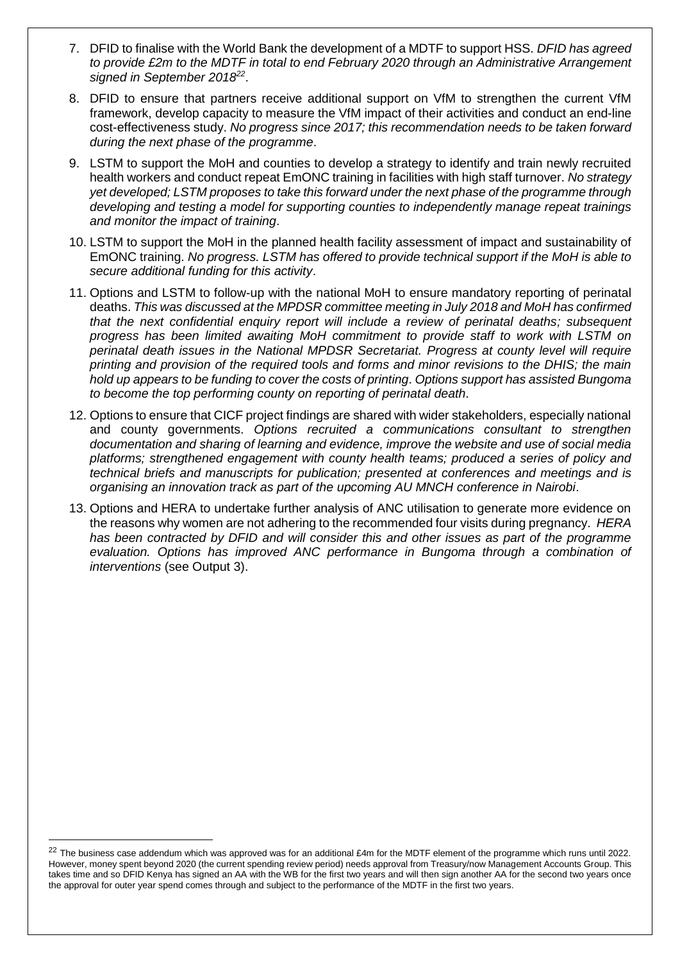- 7. DFID to finalise with the World Bank the development of a MDTF to support HSS. *DFID has agreed to provide £2m to the MDTF in total to end February 2020 through an Administrative Arrangement signed in September 2018<sup>22</sup>* .
- 8. DFID to ensure that partners receive additional support on VfM to strengthen the current VfM framework, develop capacity to measure the VfM impact of their activities and conduct an end-line cost-effectiveness study. *No progress since 2017; this recommendation needs to be taken forward during the next phase of the programme*.
- 9. LSTM to support the MoH and counties to develop a strategy to identify and train newly recruited health workers and conduct repeat EmONC training in facilities with high staff turnover. *No strategy yet developed; LSTM proposes to take this forward under the next phase of the programme through developing and testing a model for supporting counties to independently manage repeat trainings and monitor the impact of training*.
- 10. LSTM to support the MoH in the planned health facility assessment of impact and sustainability of EmONC training. *No progress. LSTM has offered to provide technical support if the MoH is able to secure additional funding for this activity*.
- 11. Options and LSTM to follow-up with the national MoH to ensure mandatory reporting of perinatal deaths. *This was discussed at the MPDSR committee meeting in July 2018 and MoH has confirmed that the next confidential enquiry report will include a review of perinatal deaths; subsequent progress has been limited awaiting MoH commitment to provide staff to work with LSTM on perinatal death issues in the National MPDSR Secretariat. Progress at county level will require printing and provision of the required tools and forms and minor revisions to the DHIS; the main hold up appears to be funding to cover the costs of printing*. *Options support has assisted Bungoma to become the top performing county on reporting of perinatal death*.
- 12. Options to ensure that CICF project findings are shared with wider stakeholders, especially national and county governments. *Options recruited a communications consultant to strengthen documentation and sharing of learning and evidence, improve the website and use of social media platforms; strengthened engagement with county health teams; produced a series of policy and technical briefs and manuscripts for publication; presented at conferences and meetings and is organising an innovation track as part of the upcoming AU MNCH conference in Nairobi*.
- 13. Options and HERA to undertake further analysis of ANC utilisation to generate more evidence on the reasons why women are not adhering to the recommended four visits during pregnancy. *HERA has been contracted by DFID and will consider this and other issues as part of the programme*  evaluation. Options has improved ANC performance in Bungoma through a combination of *interventions* (see Output 3).

 $22$  The business case addendum which was approved was for an additional £4m for the MDTF element of the programme which runs until 2022. However, money spent beyond 2020 (the current spending review period) needs approval from Treasury/now Management Accounts Group. This takes time and so DFID Kenya has signed an AA with the WB for the first two years and will then sign another AA for the second two years once the approval for outer year spend comes through and subject to the performance of the MDTF in the first two years.